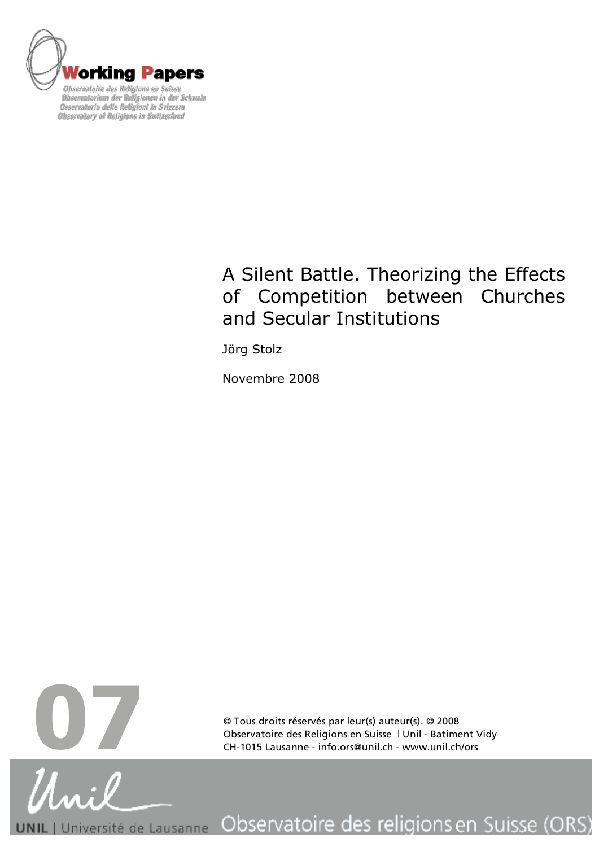

# A Silent Battle. Theorizing the Effects of Competition between Churches and Secular Institutions

Jörg Stolz

Novembre 2008



© Tous droits réservés par leur(s) auteur(s). © 2008

Observatoire des religions en Suisse (ORS) Université de Lausanne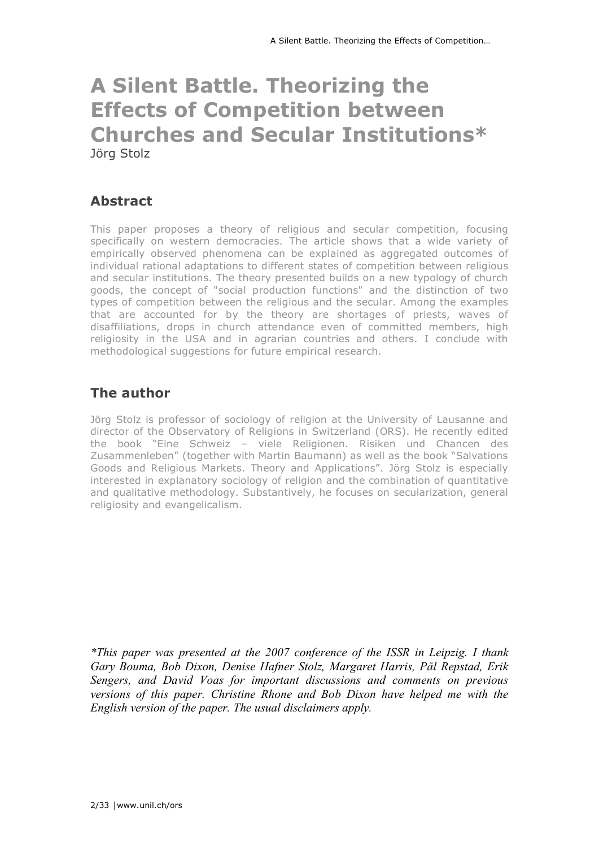# **A Silent Battle. Theorizing the Effects of Competition between Churches and Secular Institutions\*** Jörg Stolz

# **Abstract**

This paper proposes a theory of religious and secular competition, focusing specifically on western democracies. The article shows that a wide variety of empirically observed phenomena can be explained as aggregated outcomes of individual rational adaptations to different states of competition between religious and secular institutions. The theory presented builds on a new typology of church goods, the concept of "social production functions" and the distinction of two types of competition between the religious and the secular. Among the examples that are accounted for by the theory are shortages of priests, waves of disaffiliations, drops in church attendance even of committed members, high religiosity in the USA and in agrarian countries and others. I conclude with methodological suggestions for future empirical research.

# **The author**

Jörg Stolz is professor of sociology of religion at the University of Lausanne and director of the Observatory of Religions in Switzerland (ORS). He recently edited the book "Eine Schweiz – viele Religionen. Risiken und Chancen des Zusammenleben" (together with Martin Baumann) as well as the book "Salvations Goods and Religious Markets. Theory and Applications". Jörg Stolz is especially interested in explanatory sociology of religion and the combination of quantitative and qualitative methodology. Substantively, he focuses on secularization, general religiosity and evangelicalism.

*\*This paper was presented at the 2007 conference of the ISSR in Leipzig. I thank Gary Bouma, Bob Dixon, Denise Hafner Stolz, Margaret Harris, Pål Repstad, Erik Sengers, and David Voas for important discussions and comments on previous versions of this paper. Christine Rhone and Bob Dixon have helped me with the English version of the paper. The usual disclaimers apply.*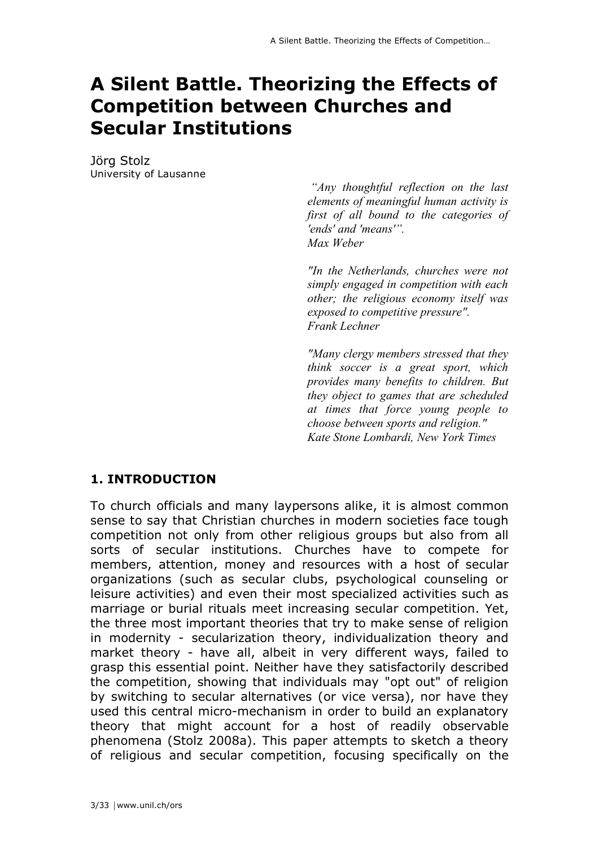# **A Silent Battle. Theorizing the Effects of Competition between Churches and Secular Institutions**

Jörg Stolz University of Lausanne

> *"Any thoughtful reflection on the last elements of meaningful human activity is first of all bound to the categories of 'ends' and 'means'". Max Weber*

> *"In the Netherlands, churches were not simply engaged in competition with each other; the religious economy itself was exposed to competitive pressure". Frank Lechner*

> *"Many clergy members stressed that they think soccer is a great sport, which provides many benefits to children. But they object to games that are scheduled at times that force young people to choose between sports and religion." Kate Stone Lombardi, New York Times*

## **1. INTRODUCTION**

To church officials and many laypersons alike, it is almost common sense to say that Christian churches in modern societies face tough competition not only from other religious groups but also from all sorts of secular institutions. Churches have to compete for members, attention, money and resources with a host of secular organizations (such as secular clubs, psychological counseling or leisure activities) and even their most specialized activities such as marriage or burial rituals meet increasing secular competition. Yet, the three most important theories that try to make sense of religion in modernity - secularization theory, individualization theory and market theory - have all, albeit in very different ways, failed to grasp this essential point. Neither have they satisfactorily described the competition, showing that individuals may "opt out" of religion by switching to secular alternatives (or vice versa), nor have they used this central micro-mechanism in order to build an explanatory theory that might account for a host of readily observable phenomena (Stolz 2008a). This paper attempts to sketch a theory of religious and secular competition, focusing specifically on the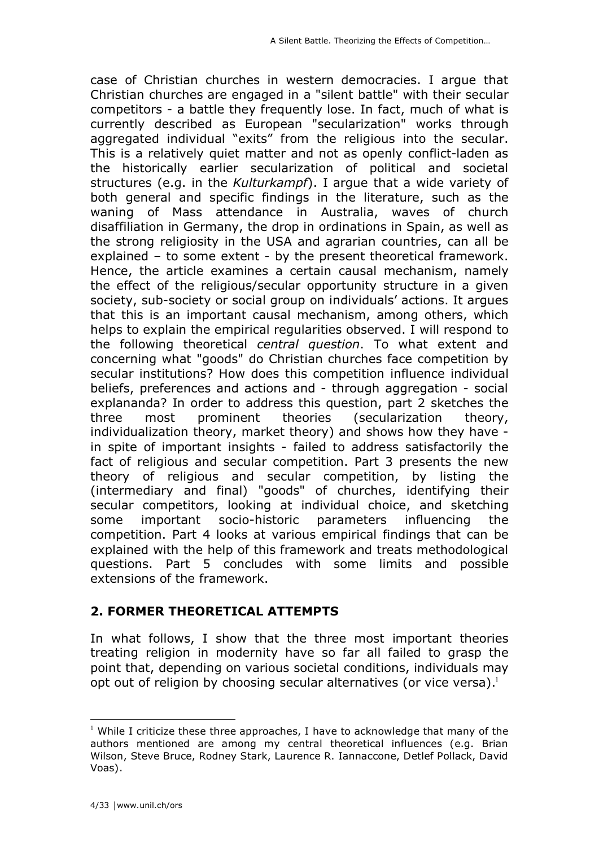case of Christian churches in western democracies. I argue that Christian churches are engaged in a "silent battle" with their secular competitors - a battle they frequently lose. In fact, much of what is currently described as European "secularization" works through aggregated individual "exits" from the religious into the secular. This is a relatively quiet matter and not as openly conflict-laden as the historically earlier secularization of political and societal structures (e.g. in the *Kulturkampf*). I argue that a wide variety of both general and specific findings in the literature, such as the waning of Mass attendance in Australia, waves of church disaffiliation in Germany, the drop in ordinations in Spain, as well as the strong religiosity in the USA and agrarian countries, can all be explained – to some extent - by the present theoretical framework. Hence, the article examines a certain causal mechanism, namely the effect of the religious/secular opportunity structure in a given society, sub-society or social group on individuals' actions. It argues that this is an important causal mechanism, among others, which helps to explain the empirical regularities observed. I will respond to the following theoretical *central question*. To what extent and concerning what "goods" do Christian churches face competition by secular institutions? How does this competition influence individual beliefs, preferences and actions and - through aggregation - social explananda? In order to address this question, part 2 sketches the three most prominent theories (secularization theory, individualization theory, market theory) and shows how they have in spite of important insights - failed to address satisfactorily the fact of religious and secular competition. Part 3 presents the new theory of religious and secular competition, by listing the (intermediary and final) "goods" of churches, identifying their secular competitors, looking at individual choice, and sketching some important socio-historic parameters influencing the competition. Part 4 looks at various empirical findings that can be explained with the help of this framework and treats methodological questions. Part 5 concludes with some limits and possible extensions of the framework.

## **2. FORMER THEORETICAL ATTEMPTS**

In what follows, I show that the three most important theories treating religion in modernity have so far all failed to grasp the point that, depending on various societal conditions, individuals may opt out of religion by choosing secular alternatives (or vice versa). $1$ 

 $\frac{1}{1}$ <sup>1</sup> While I criticize these three approaches, I have to acknowledge that many of the authors mentioned are among my central theoretical influences (e.g. Brian Wilson, Steve Bruce, Rodney Stark, Laurence R. Iannaccone, Detlef Pollack, David Voas).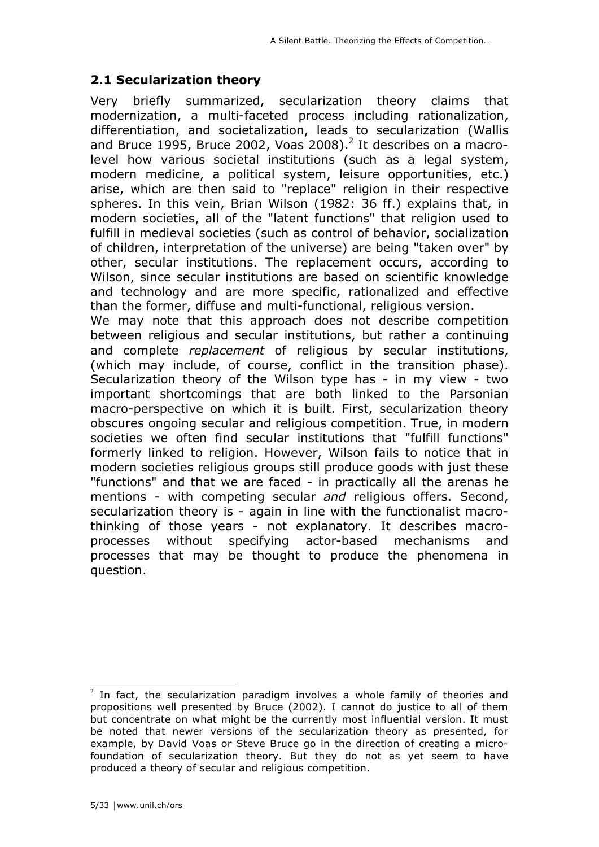## **2.1 Secularization theory**

Very briefly summarized, secularization theory claims that modernization, a multi-faceted process including rationalization, differentiation, and societalization, leads to secularization (Wallis and Bruce 1995, Bruce 2002, Voas 2008). $^2$  It describes on a macrolevel how various societal institutions (such as a legal system, modern medicine, a political system, leisure opportunities, etc.) arise, which are then said to "replace" religion in their respective spheres. In this vein, Brian Wilson (1982: 36 ff.) explains that, in modern societies, all of the "latent functions" that religion used to fulfill in medieval societies (such as control of behavior, socialization of children, interpretation of the universe) are being "taken over" by other, secular institutions. The replacement occurs, according to Wilson, since secular institutions are based on scientific knowledge and technology and are more specific, rationalized and effective than the former, diffuse and multi-functional, religious version.

We may note that this approach does not describe competition between religious and secular institutions, but rather a continuing and complete *replacement* of religious by secular institutions, (which may include, of course, conflict in the transition phase). Secularization theory of the Wilson type has - in my view - two important shortcomings that are both linked to the Parsonian macro-perspective on which it is built. First, secularization theory obscures ongoing secular and religious competition. True, in modern societies we often find secular institutions that "fulfill functions" formerly linked to religion. However, Wilson fails to notice that in modern societies religious groups still produce goods with just these "functions" and that we are faced - in practically all the arenas he mentions - with competing secular *and* religious offers. Second, secularization theory is - again in line with the functionalist macrothinking of those years - not explanatory. It describes macroprocesses without specifying actor-based mechanisms and processes that may be thought to produce the phenomena in question.

 $\frac{1}{2}$  $2$  In fact, the secularization paradigm involves a whole family of theories and propositions well presented by Bruce (2002). I cannot do justice to all of them but concentrate on what might be the currently most influential version. It must be noted that newer versions of the secularization theory as presented, for example, by David Voas or Steve Bruce go in the direction of creating a microfoundation of secularization theory. But they do not as yet seem to have produced a theory of secular and religious competition.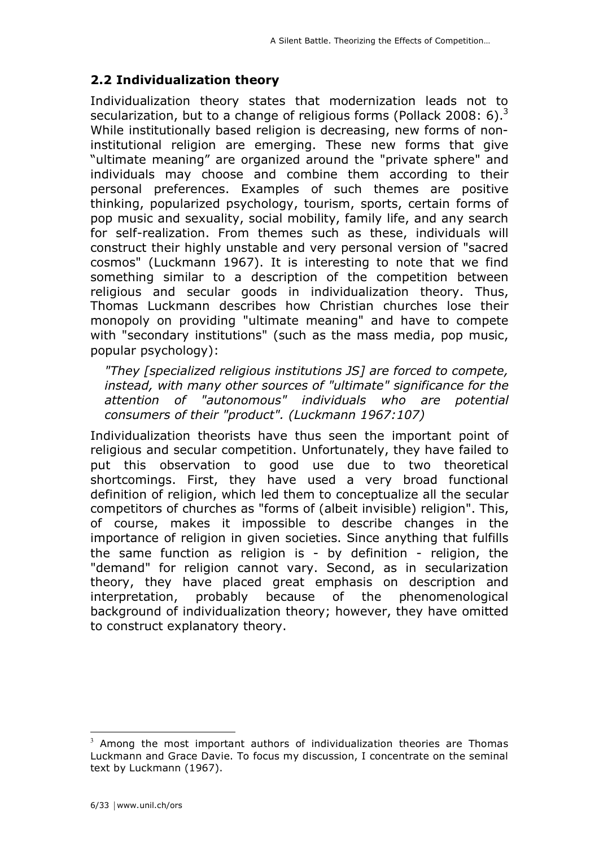# **2.2 Individualization theory**

Individualization theory states that modernization leads not to secularization, but to a change of religious forms (Pollack 2008: 6).<sup>3</sup> While institutionally based religion is decreasing, new forms of noninstitutional religion are emerging. These new forms that give "ultimate meaning" are organized around the "private sphere" and individuals may choose and combine them according to their personal preferences. Examples of such themes are positive thinking, popularized psychology, tourism, sports, certain forms of pop music and sexuality, social mobility, family life, and any search for self-realization. From themes such as these, individuals will construct their highly unstable and very personal version of "sacred cosmos" (Luckmann 1967). It is interesting to note that we find something similar to a description of the competition between religious and secular goods in individualization theory. Thus, Thomas Luckmann describes how Christian churches lose their monopoly on providing "ultimate meaning" and have to compete with "secondary institutions" (such as the mass media, pop music, popular psychology):

*"They [specialized religious institutions JS] are forced to compete, instead, with many other sources of "ultimate" significance for the attention of "autonomous" individuals who are potential consumers of their "product". (Luckmann 1967:107)*

Individualization theorists have thus seen the important point of religious and secular competition. Unfortunately, they have failed to put this observation to good use due to two theoretical shortcomings. First, they have used a very broad functional definition of religion, which led them to conceptualize all the secular competitors of churches as "forms of (albeit invisible) religion". This, of course, makes it impossible to describe changes in the importance of religion in given societies. Since anything that fulfills the same function as religion is - by definition - religion, the "demand" for religion cannot vary. Second, as in secularization theory, they have placed great emphasis on description and interpretation, probably because of the phenomenological background of individualization theory; however, they have omitted to construct explanatory theory.

<sup>&</sup>lt;sup>2</sup><br>3  $3$  Among the most important authors of individualization theories are Thomas Luckmann and Grace Davie. To focus my discussion, I concentrate on the seminal text by Luckmann (1967).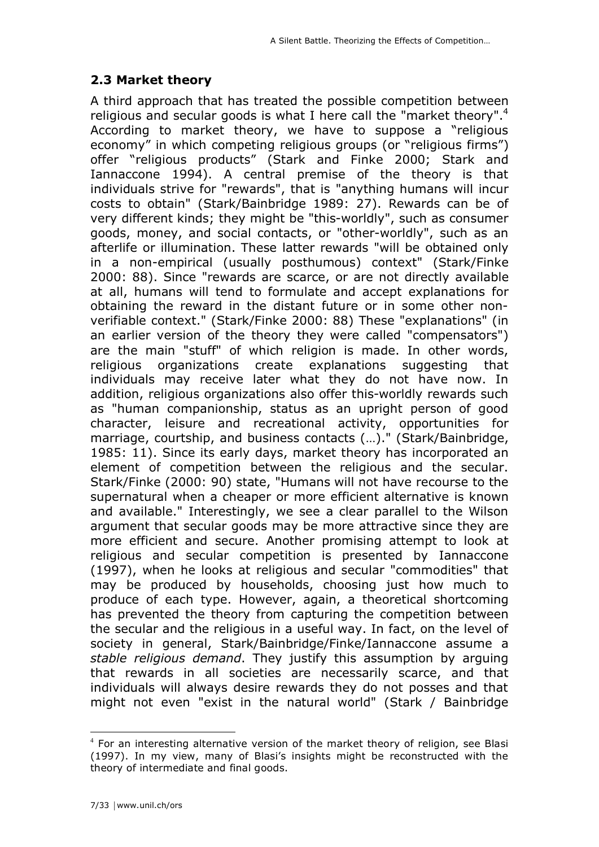## **2.3 Market theory**

A third approach that has treated the possible competition between religious and secular goods is what I here call the "market theory".<sup>4</sup> According to market theory, we have to suppose a "religious economy" in which competing religious groups (or "religious firms") offer "religious products" (Stark and Finke 2000; Stark and Iannaccone 1994). A central premise of the theory is that individuals strive for "rewards", that is "anything humans will incur costs to obtain" (Stark/Bainbridge 1989: 27). Rewards can be of very different kinds; they might be "this-worldly", such as consumer goods, money, and social contacts, or "other-worldly", such as an afterlife or illumination. These latter rewards "will be obtained only in a non-empirical (usually posthumous) context" (Stark/Finke 2000: 88). Since "rewards are scarce, or are not directly available at all, humans will tend to formulate and accept explanations for obtaining the reward in the distant future or in some other nonverifiable context." (Stark/Finke 2000: 88) These "explanations" (in an earlier version of the theory they were called "compensators") are the main "stuff" of which religion is made. In other words, religious organizations create explanations suggesting that individuals may receive later what they do not have now. In addition, religious organizations also offer this-worldly rewards such as "human companionship, status as an upright person of good character, leisure and recreational activity, opportunities for marriage, courtship, and business contacts (…)." (Stark/Bainbridge, 1985: 11). Since its early days, market theory has incorporated an element of competition between the religious and the secular. Stark/Finke (2000: 90) state, "Humans will not have recourse to the supernatural when a cheaper or more efficient alternative is known and available." Interestingly, we see a clear parallel to the Wilson argument that secular goods may be more attractive since they are more efficient and secure. Another promising attempt to look at religious and secular competition is presented by Iannaccone (1997), when he looks at religious and secular "commodities" that may be produced by households, choosing just how much to produce of each type. However, again, a theoretical shortcoming has prevented the theory from capturing the competition between the secular and the religious in a useful way. In fact, on the level of society in general, Stark/Bainbridge/Finke/Iannaccone assume a *stable religious demand*. They justify this assumption by arguing that rewards in all societies are necessarily scarce, and that individuals will always desire rewards they do not posses and that might not even "exist in the natural world" (Stark / Bainbridge

 $\frac{1}{4}$  $4$  For an interesting alternative version of the market theory of religion, see Blasi (1997). In my view, many of Blasi's insights might be reconstructed with the theory of intermediate and final goods.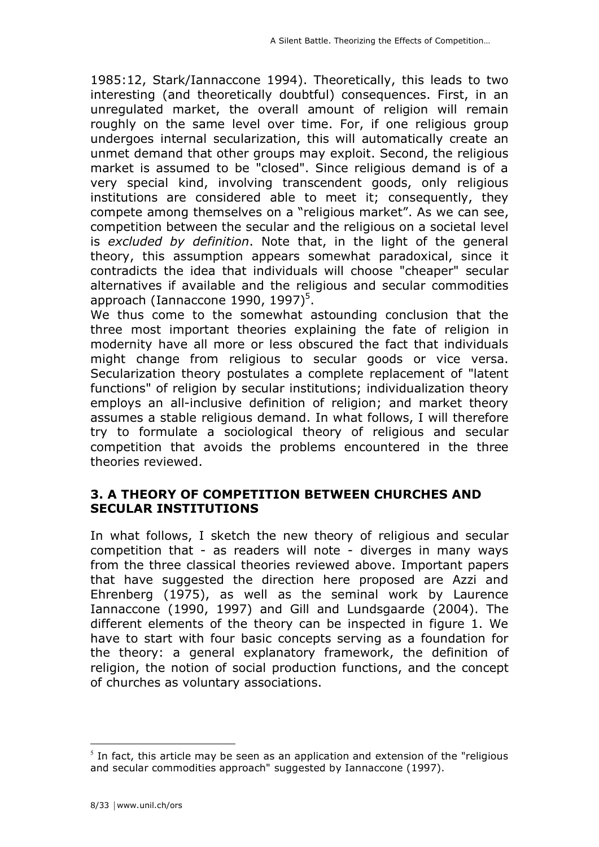1985:12, Stark/Iannaccone 1994). Theoretically, this leads to two interesting (and theoretically doubtful) consequences. First, in an unregulated market, the overall amount of religion will remain roughly on the same level over time. For, if one religious group undergoes internal secularization, this will automatically create an unmet demand that other groups may exploit. Second, the religious market is assumed to be "closed". Since religious demand is of a very special kind, involving transcendent goods, only religious institutions are considered able to meet it; consequently, they compete among themselves on a "religious market". As we can see, competition between the secular and the religious on a societal level is *excluded by definition*. Note that, in the light of the general theory, this assumption appears somewhat paradoxical, since it contradicts the idea that individuals will choose "cheaper" secular alternatives if available and the religious and secular commodities approach (Iannaccone 1990, 1997)<sup>5</sup>.

We thus come to the somewhat astounding conclusion that the three most important theories explaining the fate of religion in modernity have all more or less obscured the fact that individuals might change from religious to secular goods or vice versa. Secularization theory postulates a complete replacement of "latent functions" of religion by secular institutions; individualization theory employs an all-inclusive definition of religion; and market theory assumes a stable religious demand. In what follows, I will therefore try to formulate a sociological theory of religious and secular competition that avoids the problems encountered in the three theories reviewed.

## **3. A THEORY OF COMPETITION BETWEEN CHURCHES AND SECULAR INSTITUTIONS**

In what follows, I sketch the new theory of religious and secular competition that - as readers will note - diverges in many ways from the three classical theories reviewed above. Important papers that have suggested the direction here proposed are Azzi and Ehrenberg (1975), as well as the seminal work by Laurence Iannaccone (1990, 1997) and Gill and Lundsgaarde (2004). The different elements of the theory can be inspected in figure 1. We have to start with four basic concepts serving as a foundation for the theory: a general explanatory framework, the definition of religion, the notion of social production functions, and the concept of churches as voluntary associations.

 <sup>5</sup>  $<sup>5</sup>$  In fact, this article may be seen as an application and extension of the "religious</sup> and secular commodities approach" suggested by Iannaccone (1997).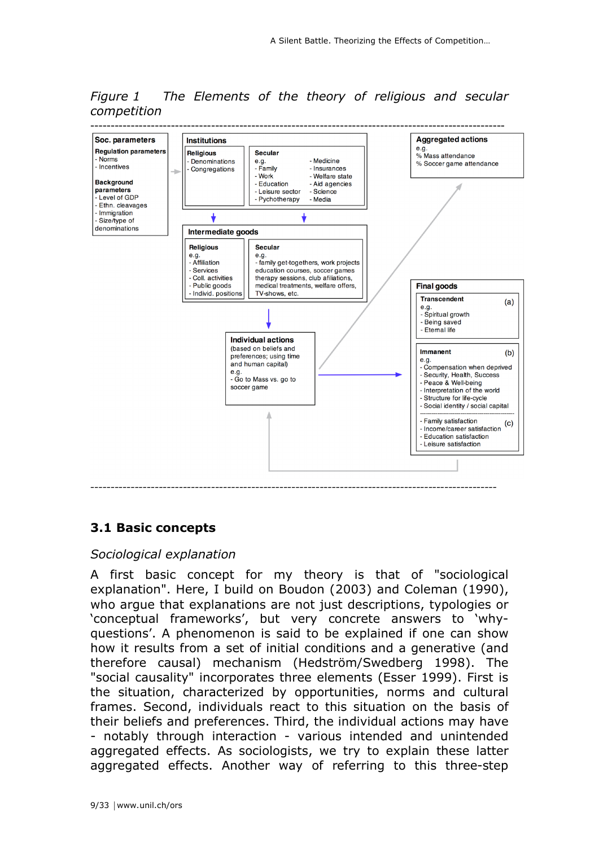*Figure 1 The Elements of the theory of religious and secular competition*



## **3.1 Basic concepts**

#### *Sociological explanation*

A first basic concept for my theory is that of "sociological explanation". Here, I build on Boudon (2003) and Coleman (1990), who argue that explanations are not just descriptions, typologies or 'conceptual frameworks', but very concrete answers to 'whyquestions'. A phenomenon is said to be explained if one can show how it results from a set of initial conditions and a generative (and therefore causal) mechanism (Hedström/Swedberg 1998). The "social causality" incorporates three elements (Esser 1999). First is the situation, characterized by opportunities, norms and cultural frames. Second, individuals react to this situation on the basis of their beliefs and preferences. Third, the individual actions may have - notably through interaction - various intended and unintended aggregated effects. As sociologists, we try to explain these latter aggregated effects. Another way of referring to this three-step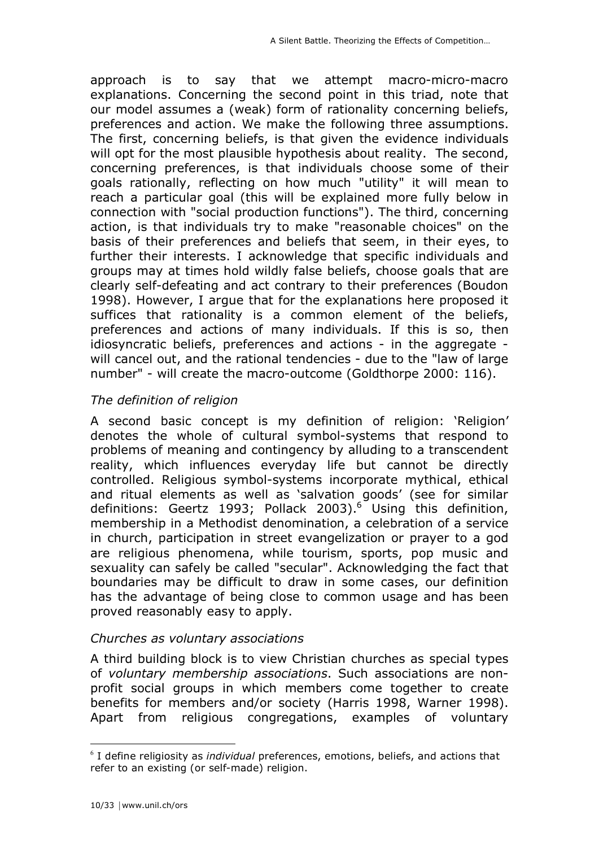approach is to say that we attempt macro-micro-macro explanations. Concerning the second point in this triad, note that our model assumes a (weak) form of rationality concerning beliefs, preferences and action. We make the following three assumptions. The first, concerning beliefs, is that given the evidence individuals will opt for the most plausible hypothesis about reality. The second, concerning preferences, is that individuals choose some of their goals rationally, reflecting on how much "utility" it will mean to reach a particular goal (this will be explained more fully below in connection with "social production functions"). The third, concerning action, is that individuals try to make "reasonable choices" on the basis of their preferences and beliefs that seem, in their eyes, to further their interests. I acknowledge that specific individuals and groups may at times hold wildly false beliefs, choose goals that are clearly self-defeating and act contrary to their preferences (Boudon 1998). However, I argue that for the explanations here proposed it suffices that rationality is a common element of the beliefs, preferences and actions of many individuals. If this is so, then idiosyncratic beliefs, preferences and actions - in the aggregate will cancel out, and the rational tendencies - due to the "law of large number" - will create the macro-outcome (Goldthorpe 2000: 116).

## *The definition of religion*

A second basic concept is my definition of religion: 'Religion' denotes the whole of cultural symbol-systems that respond to problems of meaning and contingency by alluding to a transcendent reality, which influences everyday life but cannot be directly controlled. Religious symbol-systems incorporate mythical, ethical and ritual elements as well as 'salvation goods' (see for similar definitions: Geertz 1993; Pollack 2003). 6 Using this definition, membership in a Methodist denomination, a celebration of a service in church, participation in street evangelization or prayer to a god are religious phenomena, while tourism, sports, pop music and sexuality can safely be called "secular". Acknowledging the fact that boundaries may be difficult to draw in some cases, our definition has the advantage of being close to common usage and has been proved reasonably easy to apply.

## *Churches as voluntary associations*

A third building block is to view Christian churches as special types of *voluntary membership associations*. Such associations are nonprofit social groups in which members come together to create benefits for members and/or society (Harris 1998, Warner 1998). Apart from religious congregations, examples of voluntary

 <sup>6</sup> I define religiosity as *individual* preferences, emotions, beliefs, and actions that refer to an existing (or self-made) religion.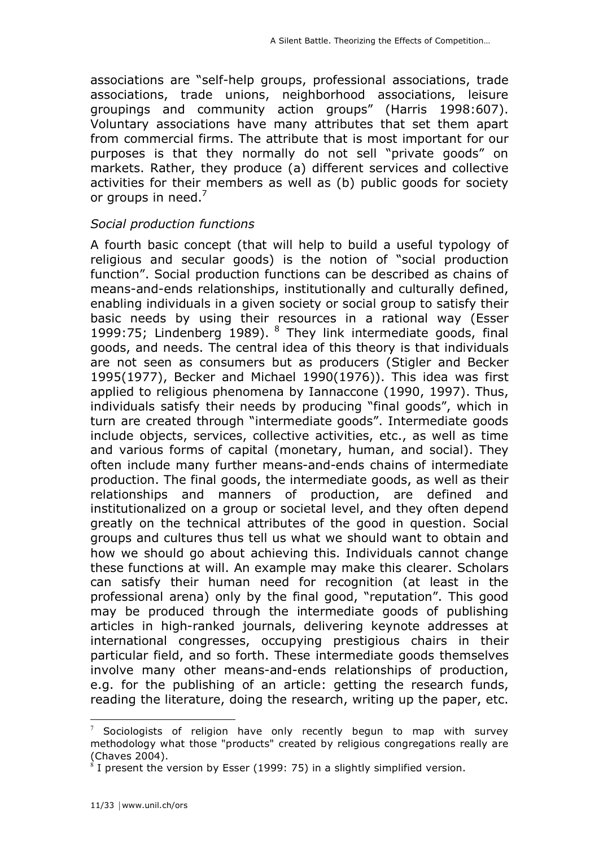associations are "self-help groups, professional associations, trade associations, trade unions, neighborhood associations, leisure groupings and community action groups" (Harris 1998:607). Voluntary associations have many attributes that set them apart from commercial firms. The attribute that is most important for our purposes is that they normally do not sell "private goods" on markets. Rather, they produce (a) different services and collective activities for their members as well as (b) public goods for society or groups in need.<sup>7</sup>

#### *Social production functions*

A fourth basic concept (that will help to build a useful typology of religious and secular goods) is the notion of "social production function". Social production functions can be described as chains of means-and-ends relationships, institutionally and culturally defined, enabling individuals in a given society or social group to satisfy their basic needs by using their resources in a rational way (Esser 1999:75; Lindenberg 1989).  $8$  They link intermediate goods, final goods, and needs. The central idea of this theory is that individuals are not seen as consumers but as producers (Stigler and Becker 1995(1977), Becker and Michael 1990(1976)). This idea was first applied to religious phenomena by Iannaccone (1990, 1997). Thus, individuals satisfy their needs by producing "final goods", which in turn are created through "intermediate goods". Intermediate goods include objects, services, collective activities, etc., as well as time and various forms of capital (monetary, human, and social). They often include many further means-and-ends chains of intermediate production. The final goods, the intermediate goods, as well as their relationships and manners of production, are defined and institutionalized on a group or societal level, and they often depend greatly on the technical attributes of the good in question. Social groups and cultures thus tell us what we should want to obtain and how we should go about achieving this. Individuals cannot change these functions at will. An example may make this clearer. Scholars can satisfy their human need for recognition (at least in the professional arena) only by the final good, "reputation". This good may be produced through the intermediate goods of publishing articles in high-ranked journals, delivering keynote addresses at international congresses, occupying prestigious chairs in their particular field, and so forth. These intermediate goods themselves involve many other means-and-ends relationships of production, e.g. for the publishing of an article: getting the research funds, reading the literature, doing the research, writing up the paper, etc.

 <sup>7</sup> Sociologists of religion have only recently begun to map with survey methodology what those "products" created by religious congregations really are (Chaves 2004).

 $8$  I present the version by Esser (1999: 75) in a slightly simplified version.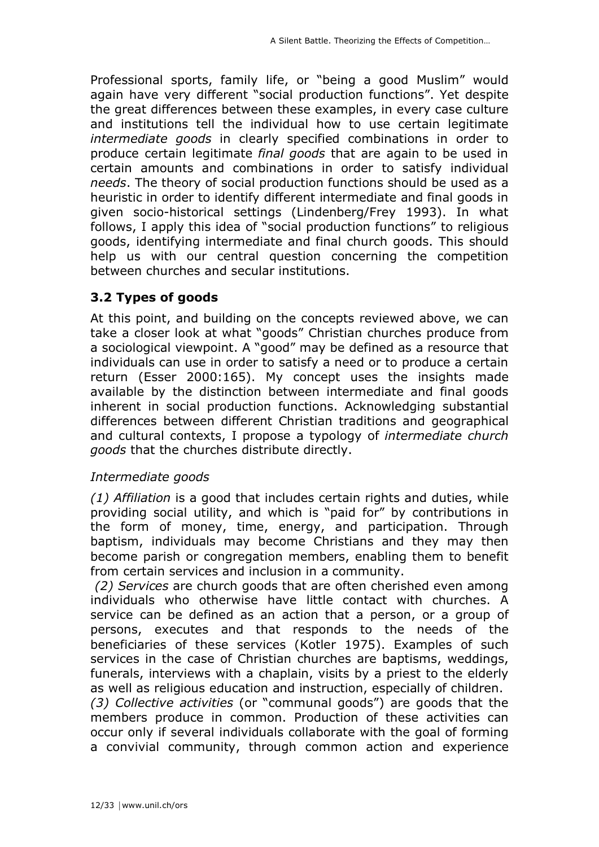Professional sports, family life, or "being a good Muslim" would again have very different "social production functions". Yet despite the great differences between these examples, in every case culture and institutions tell the individual how to use certain legitimate *intermediate goods* in clearly specified combinations in order to produce certain legitimate *final goods* that are again to be used in certain amounts and combinations in order to satisfy individual *needs*. The theory of social production functions should be used as a heuristic in order to identify different intermediate and final goods in given socio-historical settings (Lindenberg/Frey 1993). In what follows, I apply this idea of "social production functions" to religious goods, identifying intermediate and final church goods. This should help us with our central question concerning the competition between churches and secular institutions.

## **3.2 Types of goods**

At this point, and building on the concepts reviewed above, we can take a closer look at what "goods" Christian churches produce from a sociological viewpoint. A "good" may be defined as a resource that individuals can use in order to satisfy a need or to produce a certain return (Esser 2000:165). My concept uses the insights made available by the distinction between intermediate and final goods inherent in social production functions. Acknowledging substantial differences between different Christian traditions and geographical and cultural contexts, I propose a typology of *intermediate church goods* that the churches distribute directly.

## *Intermediate goods*

*(1) Affiliation* is a good that includes certain rights and duties, while providing social utility, and which is "paid for" by contributions in the form of money, time, energy, and participation. Through baptism, individuals may become Christians and they may then become parish or congregation members, enabling them to benefit from certain services and inclusion in a community.

 *(2) Services* are church goods that are often cherished even among individuals who otherwise have little contact with churches. A service can be defined as an action that a person, or a group of persons, executes and that responds to the needs of the beneficiaries of these services (Kotler 1975). Examples of such services in the case of Christian churches are baptisms, weddings, funerals, interviews with a chaplain, visits by a priest to the elderly as well as religious education and instruction, especially of children. *(3) Collective activities* (or "communal goods") are goods that the members produce in common. Production of these activities can occur only if several individuals collaborate with the goal of forming a convivial community, through common action and experience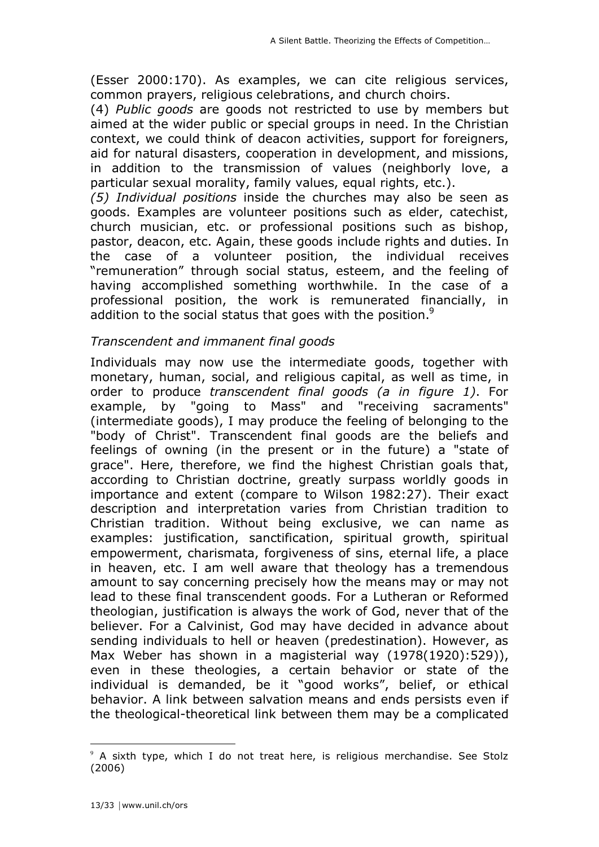(Esser 2000:170). As examples, we can cite religious services, common prayers, religious celebrations, and church choirs.

(4) *Public goods* are goods not restricted to use by members but aimed at the wider public or special groups in need. In the Christian context, we could think of deacon activities, support for foreigners, aid for natural disasters, cooperation in development, and missions, in addition to the transmission of values (neighborly love, a particular sexual morality, family values, equal rights, etc.).

*(5) Individual positions* inside the churches may also be seen as goods. Examples are volunteer positions such as elder, catechist, church musician, etc. or professional positions such as bishop, pastor, deacon, etc. Again, these goods include rights and duties. In the case of a volunteer position, the individual receives "remuneration" through social status, esteem, and the feeling of having accomplished something worthwhile. In the case of a professional position, the work is remunerated financially, in addition to the social status that goes with the position.<sup>9</sup>

## *Transcendent and immanent final goods*

Individuals may now use the intermediate goods, together with monetary, human, social, and religious capital, as well as time, in order to produce *transcendent final goods (a in figure 1)*. For example, by "going to Mass" and "receiving sacraments" (intermediate goods), I may produce the feeling of belonging to the "body of Christ". Transcendent final goods are the beliefs and feelings of owning (in the present or in the future) a "state of grace". Here, therefore, we find the highest Christian goals that, according to Christian doctrine, greatly surpass worldly goods in importance and extent (compare to Wilson 1982:27). Their exact description and interpretation varies from Christian tradition to Christian tradition. Without being exclusive, we can name as examples: justification, sanctification, spiritual growth, spiritual empowerment, charismata, forgiveness of sins, eternal life, a place in heaven, etc. I am well aware that theology has a tremendous amount to say concerning precisely how the means may or may not lead to these final transcendent goods. For a Lutheran or Reformed theologian, justification is always the work of God, never that of the believer. For a Calvinist, God may have decided in advance about sending individuals to hell or heaven (predestination). However, as Max Weber has shown in a magisterial way (1978(1920):529)), even in these theologies, a certain behavior or state of the individual is demanded, be it "good works", belief, or ethical behavior. A link between salvation means and ends persists even if the theological-theoretical link between them may be a complicated

 $\overline{a}$ 

<sup>&</sup>lt;sup>9</sup> A sixth type, which I do not treat here, is religious merchandise. See Stolz (2006)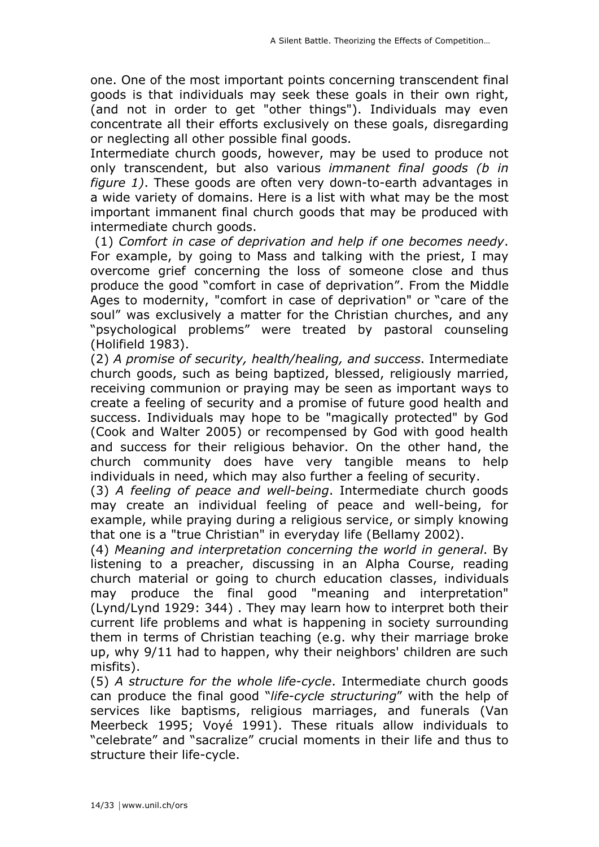one. One of the most important points concerning transcendent final goods is that individuals may seek these goals in their own right, (and not in order to get "other things"). Individuals may even concentrate all their efforts exclusively on these goals, disregarding or neglecting all other possible final goods.

Intermediate church goods, however, may be used to produce not only transcendent, but also various *immanent final goods (b in figure 1)*. These goods are often very down-to-earth advantages in a wide variety of domains. Here is a list with what may be the most important immanent final church goods that may be produced with intermediate church goods.

 (1) *Comfort in case of deprivation and help if one becomes needy*. For example, by going to Mass and talking with the priest, I may overcome grief concerning the loss of someone close and thus produce the good "comfort in case of deprivation". From the Middle Ages to modernity, "comfort in case of deprivation" or "care of the soul" was exclusively a matter for the Christian churches, and any "psychological problems" were treated by pastoral counseling (Holifield 1983).

(2) *A promise of security, health/healing, and success*. Intermediate church goods, such as being baptized, blessed, religiously married, receiving communion or praying may be seen as important ways to create a feeling of security and a promise of future good health and success. Individuals may hope to be "magically protected" by God (Cook and Walter 2005) or recompensed by God with good health and success for their religious behavior. On the other hand, the church community does have very tangible means to help individuals in need, which may also further a feeling of security.

(3) *A feeling of peace and well-being*. Intermediate church goods may create an individual feeling of peace and well-being, for example, while praying during a religious service, or simply knowing that one is a "true Christian" in everyday life (Bellamy 2002).

(4) *Meaning and interpretation concerning the world in general*. By listening to a preacher, discussing in an Alpha Course, reading church material or going to church education classes, individuals may produce the final good "meaning and interpretation" (Lynd/Lynd 1929: 344) . They may learn how to interpret both their current life problems and what is happening in society surrounding them in terms of Christian teaching (e.g. why their marriage broke up, why 9/11 had to happen, why their neighbors' children are such misfits).

(5) *A structure for the whole life-cycle*. Intermediate church goods can produce the final good "*life-cycle structuring*" with the help of services like baptisms, religious marriages, and funerals (Van Meerbeck 1995; Voyé 1991). These rituals allow individuals to "celebrate" and "sacralize" crucial moments in their life and thus to structure their life-cycle.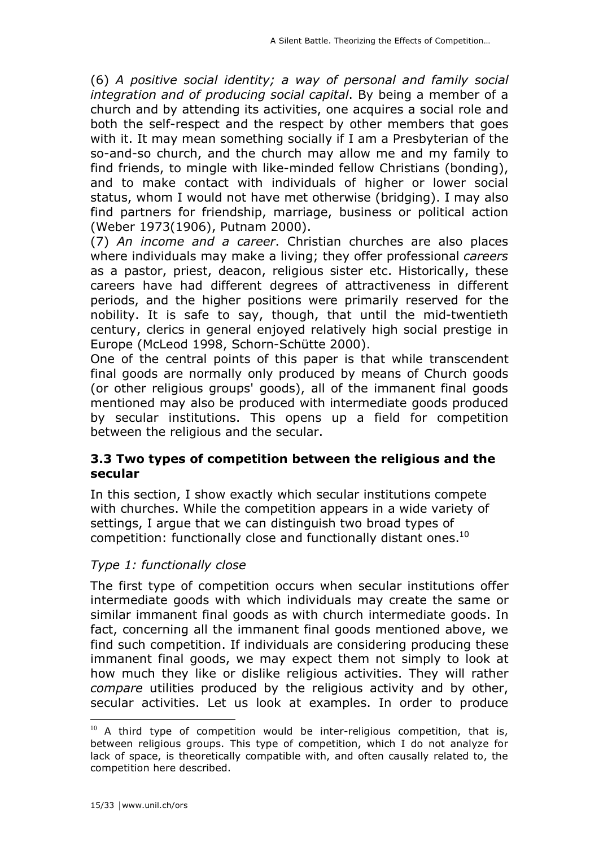(6) *A positive social identity; a way of personal and family social integration and of producing social capital*. By being a member of a church and by attending its activities, one acquires a social role and both the self-respect and the respect by other members that goes with it. It may mean something socially if I am a Presbyterian of the so-and-so church, and the church may allow me and my family to find friends, to mingle with like-minded fellow Christians (bonding), and to make contact with individuals of higher or lower social status, whom I would not have met otherwise (bridging). I may also find partners for friendship, marriage, business or political action (Weber 1973(1906), Putnam 2000).

(7) *An income and a career*. Christian churches are also places where individuals may make a living; they offer professional *careers* as a pastor, priest, deacon, religious sister etc. Historically, these careers have had different degrees of attractiveness in different periods, and the higher positions were primarily reserved for the nobility. It is safe to say, though, that until the mid-twentieth century, clerics in general enjoyed relatively high social prestige in Europe (McLeod 1998, Schorn-Schütte 2000).

One of the central points of this paper is that while transcendent final goods are normally only produced by means of Church goods (or other religious groups' goods), all of the immanent final goods mentioned may also be produced with intermediate goods produced by secular institutions. This opens up a field for competition between the religious and the secular.

## **3.3 Two types of competition between the religious and the secular**

In this section, I show exactly which secular institutions compete with churches. While the competition appears in a wide variety of settings, I argue that we can distinguish two broad types of competition: functionally close and functionally distant ones.<sup>10</sup>

## *Type 1: functionally close*

The first type of competition occurs when secular institutions offer intermediate goods with which individuals may create the same or similar immanent final goods as with church intermediate goods. In fact, concerning all the immanent final goods mentioned above, we find such competition. If individuals are considering producing these immanent final goods, we may expect them not simply to look at how much they like or dislike religious activities. They will rather *compare* utilities produced by the religious activity and by other, secular activities. Let us look at examples. In order to produce

 $10$  A third type of competition would be inter-religious competition, that is, between religious groups. This type of competition, which I do not analyze for lack of space, is theoretically compatible with, and often causally related to, the competition here described.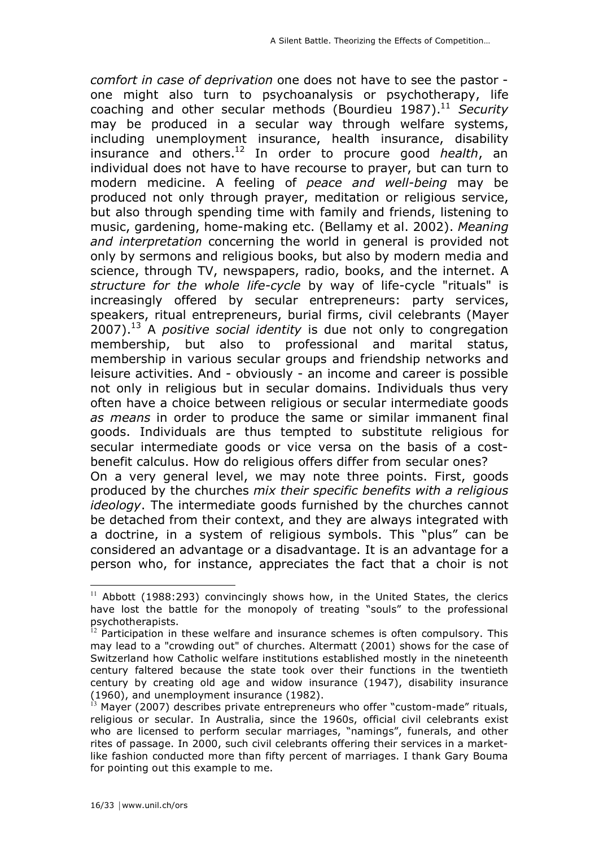*comfort in case of deprivation* one does not have to see the pastor one might also turn to psychoanalysis or psychotherapy, life coaching and other secular methods (Bourdieu 1987).<sup>11</sup> Security may be produced in a secular way through welfare systems, including unemployment insurance, health insurance, disability insurance and others.12 In order to procure good *health*, an individual does not have to have recourse to prayer, but can turn to modern medicine. A feeling of *peace and well-being* may be produced not only through prayer, meditation or religious service, but also through spending time with family and friends, listening to music, gardening, home-making etc. (Bellamy et al. 2002). *Meaning and interpretation* concerning the world in general is provided not only by sermons and religious books, but also by modern media and science, through TV, newspapers, radio, books, and the internet. A *structure for the whole life-cycle* by way of life-cycle "rituals" is increasingly offered by secular entrepreneurs: party services, speakers, ritual entrepreneurs, burial firms, civil celebrants (Mayer 2007).13 A *positive social identity* is due not only to congregation membership, but also to professional and marital status, membership in various secular groups and friendship networks and leisure activities. And - obviously - an income and career is possible not only in religious but in secular domains. Individuals thus very often have a choice between religious or secular intermediate goods *as means* in order to produce the same or similar immanent final goods. Individuals are thus tempted to substitute religious for secular intermediate goods or vice versa on the basis of a costbenefit calculus. How do religious offers differ from secular ones? On a very general level, we may note three points. First, goods

produced by the churches *mix their specific benefits with a religious ideology*. The intermediate goods furnished by the churches cannot be detached from their context, and they are always integrated with a doctrine, in a system of religious symbols. This "plus" can be considered an advantage or a disadvantage. It is an advantage for a person who, for instance, appreciates the fact that a choir is not

 $11$  Abbott (1988:293) convincingly shows how, in the United States, the clerics have lost the battle for the monopoly of treating "souls" to the professional psychotherapists.

 $12$  Participation in these welfare and insurance schemes is often compulsory. This may lead to a "crowding out" of churches. Altermatt (2001) shows for the case of Switzerland how Catholic welfare institutions established mostly in the nineteenth century faltered because the state took over their functions in the twentieth century by creating old age and widow insurance (1947), disability insurance (1960), and unemployment insurance (1982).

 $13$  Mayer (2007) describes private entrepreneurs who offer "custom-made" rituals, religious or secular. In Australia, since the 1960s, official civil celebrants exist who are licensed to perform secular marriages, "namings", funerals, and other rites of passage. In 2000, such civil celebrants offering their services in a marketlike fashion conducted more than fifty percent of marriages. I thank Gary Bouma for pointing out this example to me.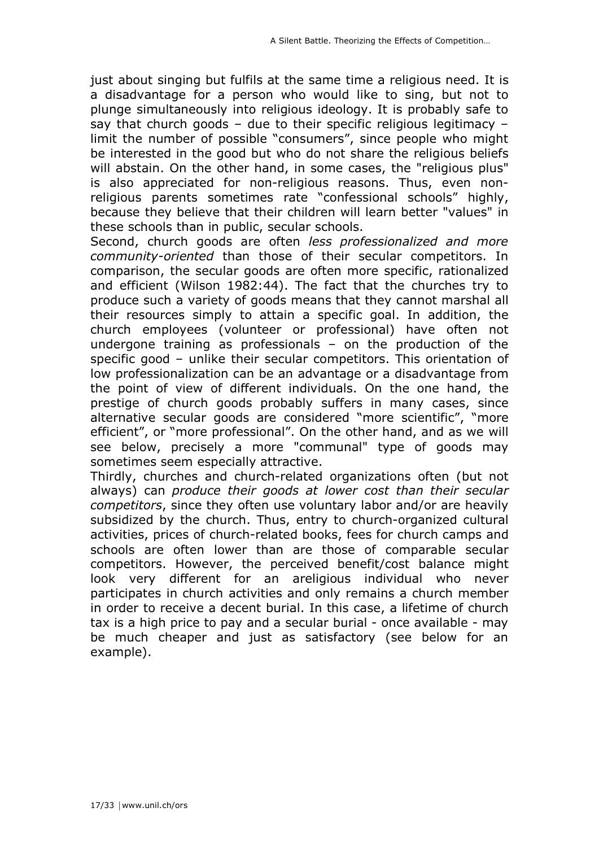just about singing but fulfils at the same time a religious need. It is a disadvantage for a person who would like to sing, but not to plunge simultaneously into religious ideology. It is probably safe to say that church goods – due to their specific religious legitimacy – limit the number of possible "consumers", since people who might be interested in the good but who do not share the religious beliefs will abstain. On the other hand, in some cases, the "religious plus" is also appreciated for non-religious reasons. Thus, even nonreligious parents sometimes rate "confessional schools" highly, because they believe that their children will learn better "values" in these schools than in public, secular schools.

Second, church goods are often *less professionalized and more community-oriented* than those of their secular competitors. In comparison, the secular goods are often more specific, rationalized and efficient (Wilson 1982:44). The fact that the churches try to produce such a variety of goods means that they cannot marshal all their resources simply to attain a specific goal. In addition, the church employees (volunteer or professional) have often not undergone training as professionals – on the production of the specific good – unlike their secular competitors. This orientation of low professionalization can be an advantage or a disadvantage from the point of view of different individuals. On the one hand, the prestige of church goods probably suffers in many cases, since alternative secular goods are considered "more scientific", "more efficient", or "more professional". On the other hand, and as we will see below, precisely a more "communal" type of goods may sometimes seem especially attractive.

Thirdly, churches and church-related organizations often (but not always) can *produce their goods at lower cost than their secular competitors*, since they often use voluntary labor and/or are heavily subsidized by the church. Thus, entry to church-organized cultural activities, prices of church-related books, fees for church camps and schools are often lower than are those of comparable secular competitors. However, the perceived benefit/cost balance might look very different for an areligious individual who never participates in church activities and only remains a church member in order to receive a decent burial. In this case, a lifetime of church tax is a high price to pay and a secular burial - once available - may be much cheaper and just as satisfactory (see below for an example).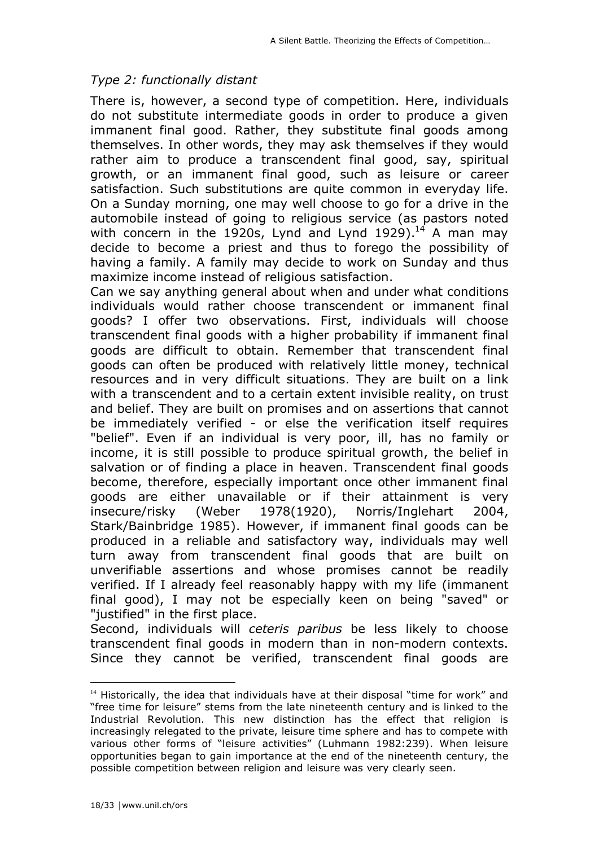## *Type 2: functionally distant*

There is, however, a second type of competition. Here, individuals do not substitute intermediate goods in order to produce a given immanent final good. Rather, they substitute final goods among themselves. In other words, they may ask themselves if they would rather aim to produce a transcendent final good, say, spiritual growth, or an immanent final good, such as leisure or career satisfaction. Such substitutions are quite common in everyday life. On a Sunday morning, one may well choose to go for a drive in the automobile instead of going to religious service (as pastors noted with concern in the 1920s, Lynd and Lynd 1929). $^{14}$  A man may decide to become a priest and thus to forego the possibility of having a family. A family may decide to work on Sunday and thus maximize income instead of religious satisfaction.

Can we say anything general about when and under what conditions individuals would rather choose transcendent or immanent final goods? I offer two observations. First, individuals will choose transcendent final goods with a higher probability if immanent final goods are difficult to obtain. Remember that transcendent final goods can often be produced with relatively little money, technical resources and in very difficult situations. They are built on a link with a transcendent and to a certain extent invisible reality, on trust and belief. They are built on promises and on assertions that cannot be immediately verified - or else the verification itself requires "belief". Even if an individual is very poor, ill, has no family or income, it is still possible to produce spiritual growth, the belief in salvation or of finding a place in heaven. Transcendent final goods become, therefore, especially important once other immanent final goods are either unavailable or if their attainment is very insecure/risky (Weber 1978(1920), Norris/Inglehart 2004, Stark/Bainbridge 1985). However, if immanent final goods can be produced in a reliable and satisfactory way, individuals may well turn away from transcendent final goods that are built on unverifiable assertions and whose promises cannot be readily verified. If I already feel reasonably happy with my life (immanent final good), I may not be especially keen on being "saved" or "justified" in the first place.

Second, individuals will *ceteris paribus* be less likely to choose transcendent final goods in modern than in non-modern contexts. Since they cannot be verified, transcendent final goods are

 $\overline{a}$ 

 $14$  Historically, the idea that individuals have at their disposal "time for work" and "free time for leisure" stems from the late nineteenth century and is linked to the Industrial Revolution. This new distinction has the effect that religion is increasingly relegated to the private, leisure time sphere and has to compete with various other forms of "leisure activities" (Luhmann 1982:239). When leisure opportunities began to gain importance at the end of the nineteenth century, the possible competition between religion and leisure was very clearly seen.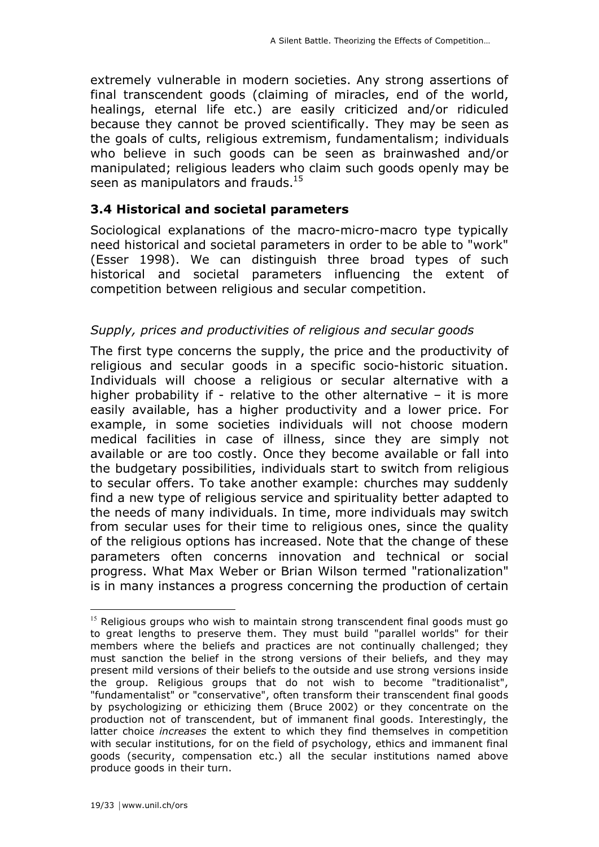extremely vulnerable in modern societies. Any strong assertions of final transcendent goods (claiming of miracles, end of the world, healings, eternal life etc.) are easily criticized and/or ridiculed because they cannot be proved scientifically. They may be seen as the goals of cults, religious extremism, fundamentalism; individuals who believe in such goods can be seen as brainwashed and/or manipulated; religious leaders who claim such goods openly may be seen as manipulators and frauds.<sup>15</sup>

#### **3.4 Historical and societal parameters**

Sociological explanations of the macro-micro-macro type typically need historical and societal parameters in order to be able to "work" (Esser 1998). We can distinguish three broad types of such historical and societal parameters influencing the extent of competition between religious and secular competition.

## *Supply, prices and productivities of religious and secular goods*

The first type concerns the supply, the price and the productivity of religious and secular goods in a specific socio-historic situation. Individuals will choose a religious or secular alternative with a higher probability if - relative to the other alternative  $-$  it is more easily available, has a higher productivity and a lower price. For example, in some societies individuals will not choose modern medical facilities in case of illness, since they are simply not available or are too costly. Once they become available or fall into the budgetary possibilities, individuals start to switch from religious to secular offers. To take another example: churches may suddenly find a new type of religious service and spirituality better adapted to the needs of many individuals. In time, more individuals may switch from secular uses for their time to religious ones, since the quality of the religious options has increased. Note that the change of these parameters often concerns innovation and technical or social progress. What Max Weber or Brian Wilson termed "rationalization" is in many instances a progress concerning the production of certain

 $15$  Religious groups who wish to maintain strong transcendent final goods must go to great lengths to preserve them. They must build "parallel worlds" for their members where the beliefs and practices are not continually challenged; they must sanction the belief in the strong versions of their beliefs, and they may present mild versions of their beliefs to the outside and use strong versions inside the group. Religious groups that do not wish to become "traditionalist", "fundamentalist" or "conservative", often transform their transcendent final goods by psychologizing or ethicizing them (Bruce 2002) or they concentrate on the production not of transcendent, but of immanent final goods. Interestingly, the latter choice *increases* the extent to which they find themselves in competition with secular institutions, for on the field of psychology, ethics and immanent final goods (security, compensation etc.) all the secular institutions named above produce goods in their turn.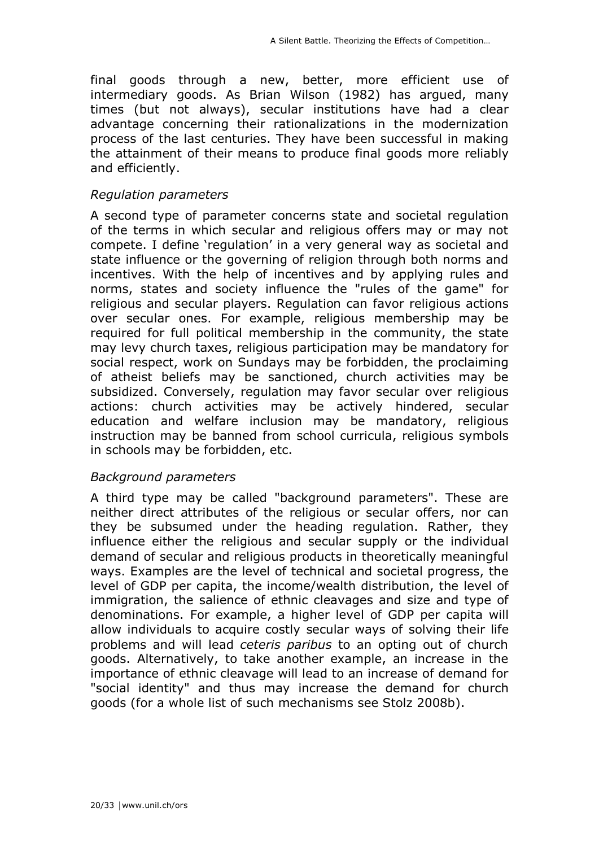final goods through a new, better, more efficient use of intermediary goods. As Brian Wilson (1982) has argued, many times (but not always), secular institutions have had a clear advantage concerning their rationalizations in the modernization process of the last centuries. They have been successful in making the attainment of their means to produce final goods more reliably and efficiently.

#### *Regulation parameters*

A second type of parameter concerns state and societal regulation of the terms in which secular and religious offers may or may not compete. I define 'regulation' in a very general way as societal and state influence or the governing of religion through both norms and incentives. With the help of incentives and by applying rules and norms, states and society influence the "rules of the game" for religious and secular players. Regulation can favor religious actions over secular ones. For example, religious membership may be required for full political membership in the community, the state may levy church taxes, religious participation may be mandatory for social respect, work on Sundays may be forbidden, the proclaiming of atheist beliefs may be sanctioned, church activities may be subsidized. Conversely, regulation may favor secular over religious actions: church activities may be actively hindered, secular education and welfare inclusion may be mandatory, religious instruction may be banned from school curricula, religious symbols in schools may be forbidden, etc.

## *Background parameters*

A third type may be called "background parameters". These are neither direct attributes of the religious or secular offers, nor can they be subsumed under the heading regulation. Rather, they influence either the religious and secular supply or the individual demand of secular and religious products in theoretically meaningful ways. Examples are the level of technical and societal progress, the level of GDP per capita, the income/wealth distribution, the level of immigration, the salience of ethnic cleavages and size and type of denominations. For example, a higher level of GDP per capita will allow individuals to acquire costly secular ways of solving their life problems and will lead *ceteris paribus* to an opting out of church goods. Alternatively, to take another example, an increase in the importance of ethnic cleavage will lead to an increase of demand for "social identity" and thus may increase the demand for church goods (for a whole list of such mechanisms see Stolz 2008b).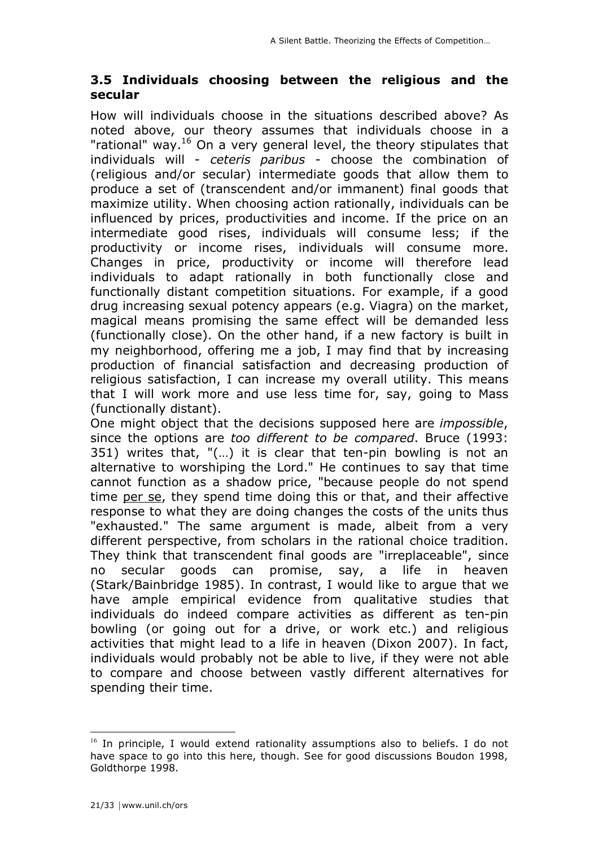## **3.5 Individuals choosing between the religious and the secular**

How will individuals choose in the situations described above? As noted above, our theory assumes that individuals choose in a "rational" way.<sup>16</sup> On a very general level, the theory stipulates that individuals will - *ceteris paribus* - choose the combination of (religious and/or secular) intermediate goods that allow them to produce a set of (transcendent and/or immanent) final goods that maximize utility. When choosing action rationally, individuals can be influenced by prices, productivities and income. If the price on an intermediate good rises, individuals will consume less; if the productivity or income rises, individuals will consume more. Changes in price, productivity or income will therefore lead individuals to adapt rationally in both functionally close and functionally distant competition situations. For example, if a good drug increasing sexual potency appears (e.g. Viagra) on the market, magical means promising the same effect will be demanded less (functionally close). On the other hand, if a new factory is built in my neighborhood, offering me a job, I may find that by increasing production of financial satisfaction and decreasing production of religious satisfaction, I can increase my overall utility. This means that I will work more and use less time for, say, going to Mass (functionally distant).

One might object that the decisions supposed here are *impossible*, since the options are *too different to be compared*. Bruce (1993: 351) writes that, "(…) it is clear that ten-pin bowling is not an alternative to worshiping the Lord." He continues to say that time cannot function as a shadow price, "because people do not spend time per se, they spend time doing this or that, and their affective response to what they are doing changes the costs of the units thus "exhausted." The same argument is made, albeit from a very different perspective, from scholars in the rational choice tradition. They think that transcendent final goods are "irreplaceable", since no secular goods can promise, say, a life in heaven (Stark/Bainbridge 1985). In contrast, I would like to argue that we have ample empirical evidence from qualitative studies that individuals do indeed compare activities as different as ten-pin bowling (or going out for a drive, or work etc.) and religious activities that might lead to a life in heaven (Dixon 2007). In fact, individuals would probably not be able to live, if they were not able to compare and choose between vastly different alternatives for spending their time.

 $16$  In principle, I would extend rationality assumptions also to beliefs. I do not have space to go into this here, though. See for good discussions Boudon 1998, Goldthorpe 1998.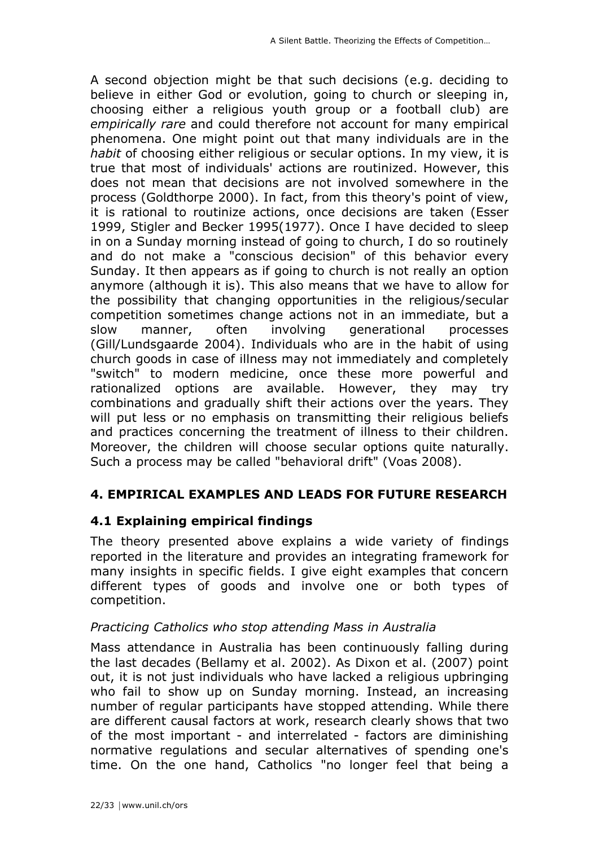A second objection might be that such decisions (e.g. deciding to believe in either God or evolution, going to church or sleeping in, choosing either a religious youth group or a football club) are *empirically rare* and could therefore not account for many empirical phenomena. One might point out that many individuals are in the *habit* of choosing either religious or secular options. In my view, it is true that most of individuals' actions are routinized. However, this does not mean that decisions are not involved somewhere in the process (Goldthorpe 2000). In fact, from this theory's point of view, it is rational to routinize actions, once decisions are taken (Esser 1999, Stigler and Becker 1995(1977). Once I have decided to sleep in on a Sunday morning instead of going to church, I do so routinely and do not make a "conscious decision" of this behavior every Sunday. It then appears as if going to church is not really an option anymore (although it is). This also means that we have to allow for the possibility that changing opportunities in the religious/secular competition sometimes change actions not in an immediate, but a slow manner, often involving generational processes (Gill/Lundsgaarde 2004). Individuals who are in the habit of using church goods in case of illness may not immediately and completely "switch" to modern medicine, once these more powerful and rationalized options are available. However, they may try combinations and gradually shift their actions over the years. They will put less or no emphasis on transmitting their religious beliefs and practices concerning the treatment of illness to their children. Moreover, the children will choose secular options quite naturally. Such a process may be called "behavioral drift" (Voas 2008).

## **4. EMPIRICAL EXAMPLES AND LEADS FOR FUTURE RESEARCH**

## **4.1 Explaining empirical findings**

The theory presented above explains a wide variety of findings reported in the literature and provides an integrating framework for many insights in specific fields. I give eight examples that concern different types of goods and involve one or both types of competition.

#### *Practicing Catholics who stop attending Mass in Australia*

Mass attendance in Australia has been continuously falling during the last decades (Bellamy et al. 2002). As Dixon et al. (2007) point out, it is not just individuals who have lacked a religious upbringing who fail to show up on Sunday morning. Instead, an increasing number of regular participants have stopped attending. While there are different causal factors at work, research clearly shows that two of the most important - and interrelated - factors are diminishing normative regulations and secular alternatives of spending one's time. On the one hand, Catholics "no longer feel that being a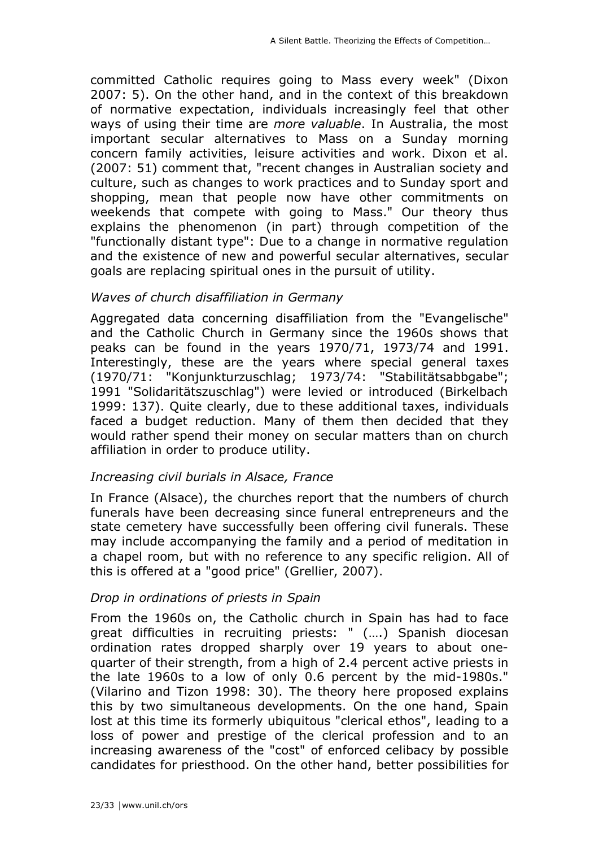committed Catholic requires going to Mass every week" (Dixon 2007: 5). On the other hand, and in the context of this breakdown of normative expectation, individuals increasingly feel that other ways of using their time are *more valuable*. In Australia, the most important secular alternatives to Mass on a Sunday morning concern family activities, leisure activities and work. Dixon et al. (2007: 51) comment that, "recent changes in Australian society and culture, such as changes to work practices and to Sunday sport and shopping, mean that people now have other commitments on weekends that compete with going to Mass." Our theory thus explains the phenomenon (in part) through competition of the "functionally distant type": Due to a change in normative regulation and the existence of new and powerful secular alternatives, secular goals are replacing spiritual ones in the pursuit of utility.

#### *Waves of church disaffiliation in Germany*

Aggregated data concerning disaffiliation from the "Evangelische" and the Catholic Church in Germany since the 1960s shows that peaks can be found in the years 1970/71, 1973/74 and 1991. Interestingly, these are the years where special general taxes (1970/71: "Konjunkturzuschlag; 1973/74: "Stabilitätsabbgabe"; 1991 "Solidaritätszuschlag") were levied or introduced (Birkelbach 1999: 137). Quite clearly, due to these additional taxes, individuals faced a budget reduction. Many of them then decided that they would rather spend their money on secular matters than on church affiliation in order to produce utility.

## *Increasing civil burials in Alsace, France*

In France (Alsace), the churches report that the numbers of church funerals have been decreasing since funeral entrepreneurs and the state cemetery have successfully been offering civil funerals. These may include accompanying the family and a period of meditation in a chapel room, but with no reference to any specific religion. All of this is offered at a "good price" (Grellier, 2007).

## *Drop in ordinations of priests in Spain*

From the 1960s on, the Catholic church in Spain has had to face great difficulties in recruiting priests: " (….) Spanish diocesan ordination rates dropped sharply over 19 years to about onequarter of their strength, from a high of 2.4 percent active priests in the late 1960s to a low of only 0.6 percent by the mid-1980s." (Vilarino and Tizon 1998: 30). The theory here proposed explains this by two simultaneous developments. On the one hand, Spain lost at this time its formerly ubiquitous "clerical ethos", leading to a loss of power and prestige of the clerical profession and to an increasing awareness of the "cost" of enforced celibacy by possible candidates for priesthood. On the other hand, better possibilities for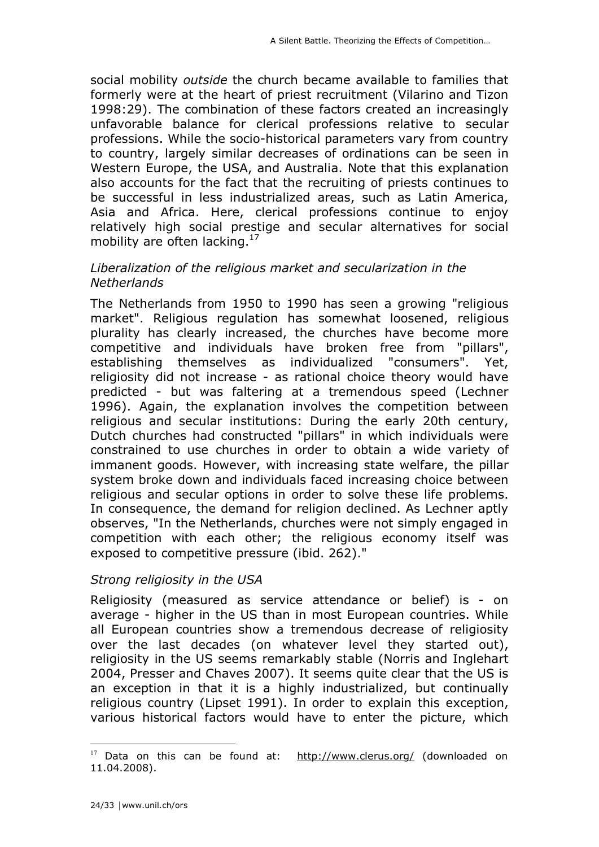social mobility *outside* the church became available to families that formerly were at the heart of priest recruitment (Vilarino and Tizon 1998:29). The combination of these factors created an increasingly unfavorable balance for clerical professions relative to secular professions. While the socio-historical parameters vary from country to country, largely similar decreases of ordinations can be seen in Western Europe, the USA, and Australia. Note that this explanation also accounts for the fact that the recruiting of priests continues to be successful in less industrialized areas, such as Latin America, Asia and Africa. Here, clerical professions continue to enjoy relatively high social prestige and secular alternatives for social mobility are often lacking. $17$ 

#### *Liberalization of the religious market and secularization in the Netherlands*

The Netherlands from 1950 to 1990 has seen a growing "religious market". Religious regulation has somewhat loosened, religious plurality has clearly increased, the churches have become more competitive and individuals have broken free from "pillars", establishing themselves as individualized "consumers". Yet, religiosity did not increase - as rational choice theory would have predicted - but was faltering at a tremendous speed (Lechner 1996). Again, the explanation involves the competition between religious and secular institutions: During the early 20th century, Dutch churches had constructed "pillars" in which individuals were constrained to use churches in order to obtain a wide variety of immanent goods. However, with increasing state welfare, the pillar system broke down and individuals faced increasing choice between religious and secular options in order to solve these life problems. In consequence, the demand for religion declined. As Lechner aptly observes, "In the Netherlands, churches were not simply engaged in competition with each other; the religious economy itself was exposed to competitive pressure (ibid. 262)."

## *Strong religiosity in the USA*

Religiosity (measured as service attendance or belief) is - on average - higher in the US than in most European countries. While all European countries show a tremendous decrease of religiosity over the last decades (on whatever level they started out), religiosity in the US seems remarkably stable (Norris and Inglehart 2004, Presser and Chaves 2007). It seems quite clear that the US is an exception in that it is a highly industrialized, but continually religious country (Lipset 1991). In order to explain this exception, various historical factors would have to enter the picture, which

 $17$  Data on this can be found at: http://www.clerus.org/ (downloaded on 11.04.2008).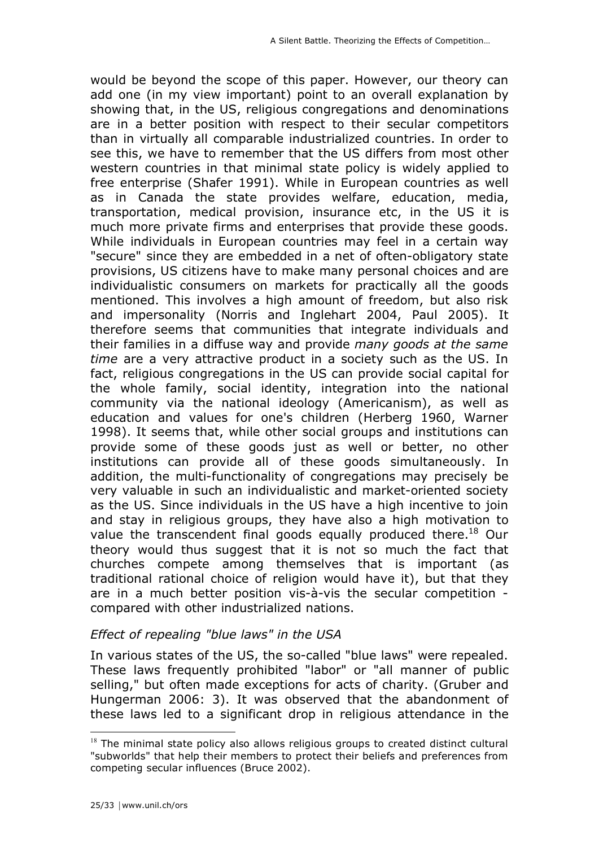would be beyond the scope of this paper. However, our theory can add one (in my view important) point to an overall explanation by showing that, in the US, religious congregations and denominations are in a better position with respect to their secular competitors than in virtually all comparable industrialized countries. In order to see this, we have to remember that the US differs from most other western countries in that minimal state policy is widely applied to free enterprise (Shafer 1991). While in European countries as well as in Canada the state provides welfare, education, media, transportation, medical provision, insurance etc, in the US it is much more private firms and enterprises that provide these goods. While individuals in European countries may feel in a certain way "secure" since they are embedded in a net of often-obligatory state provisions, US citizens have to make many personal choices and are individualistic consumers on markets for practically all the goods mentioned. This involves a high amount of freedom, but also risk and impersonality (Norris and Inglehart 2004, Paul 2005). It therefore seems that communities that integrate individuals and their families in a diffuse way and provide *many goods at the same time* are a very attractive product in a society such as the US. In fact, religious congregations in the US can provide social capital for the whole family, social identity, integration into the national community via the national ideology (Americanism), as well as education and values for one's children (Herberg 1960, Warner 1998). It seems that, while other social groups and institutions can provide some of these goods just as well or better, no other institutions can provide all of these goods simultaneously. In addition, the multi-functionality of congregations may precisely be very valuable in such an individualistic and market-oriented society as the US. Since individuals in the US have a high incentive to join and stay in religious groups, they have also a high motivation to value the transcendent final goods equally produced there.<sup>18</sup> Our theory would thus suggest that it is not so much the fact that churches compete among themselves that is important (as traditional rational choice of religion would have it), but that they are in a much better position vis-à-vis the secular competition compared with other industrialized nations.

## *Effect of repealing "blue laws" in the USA*

In various states of the US, the so-called "blue laws" were repealed. These laws frequently prohibited "labor" or "all manner of public selling," but often made exceptions for acts of charity. (Gruber and Hungerman 2006: 3). It was observed that the abandonment of these laws led to a significant drop in religious attendance in the

 $18$  The minimal state policy also allows religious groups to created distinct cultural "subworlds" that help their members to protect their beliefs and preferences from competing secular influences (Bruce 2002).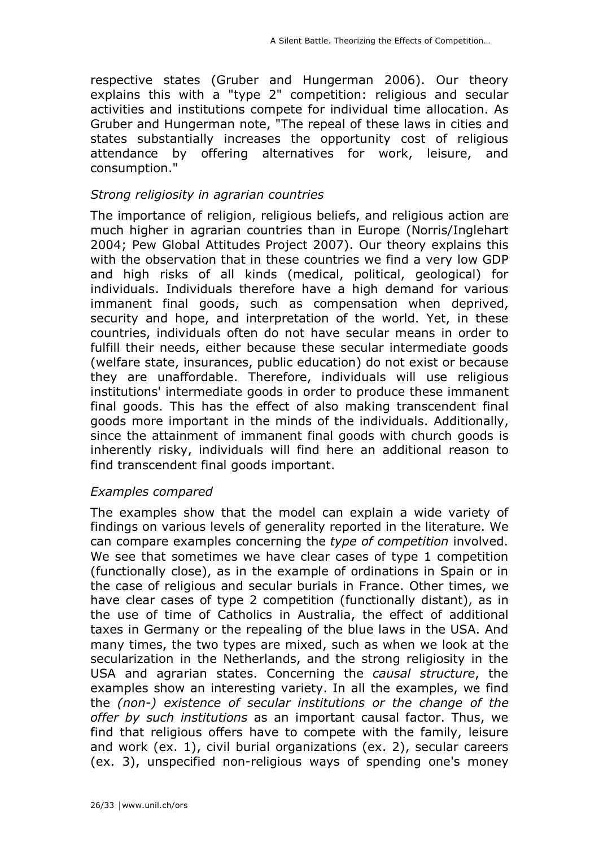respective states (Gruber and Hungerman 2006). Our theory explains this with a "type 2" competition: religious and secular activities and institutions compete for individual time allocation. As Gruber and Hungerman note, "The repeal of these laws in cities and states substantially increases the opportunity cost of religious attendance by offering alternatives for work, leisure, and consumption."

#### *Strong religiosity in agrarian countries*

The importance of religion, religious beliefs, and religious action are much higher in agrarian countries than in Europe (Norris/Inglehart 2004; Pew Global Attitudes Project 2007). Our theory explains this with the observation that in these countries we find a very low GDP and high risks of all kinds (medical, political, geological) for individuals. Individuals therefore have a high demand for various immanent final goods, such as compensation when deprived, security and hope, and interpretation of the world. Yet, in these countries, individuals often do not have secular means in order to fulfill their needs, either because these secular intermediate goods (welfare state, insurances, public education) do not exist or because they are unaffordable. Therefore, individuals will use religious institutions' intermediate goods in order to produce these immanent final goods. This has the effect of also making transcendent final goods more important in the minds of the individuals. Additionally, since the attainment of immanent final goods with church goods is inherently risky, individuals will find here an additional reason to find transcendent final goods important.

#### *Examples compared*

The examples show that the model can explain a wide variety of findings on various levels of generality reported in the literature. We can compare examples concerning the *type of competition* involved. We see that sometimes we have clear cases of type 1 competition (functionally close), as in the example of ordinations in Spain or in the case of religious and secular burials in France. Other times, we have clear cases of type 2 competition (functionally distant), as in the use of time of Catholics in Australia, the effect of additional taxes in Germany or the repealing of the blue laws in the USA. And many times, the two types are mixed, such as when we look at the secularization in the Netherlands, and the strong religiosity in the USA and agrarian states. Concerning the *causal structure*, the examples show an interesting variety. In all the examples, we find the *(non-) existence of secular institutions or the change of the offer by such institutions* as an important causal factor. Thus, we find that religious offers have to compete with the family, leisure and work (ex. 1), civil burial organizations (ex. 2), secular careers (ex. 3), unspecified non-religious ways of spending one's money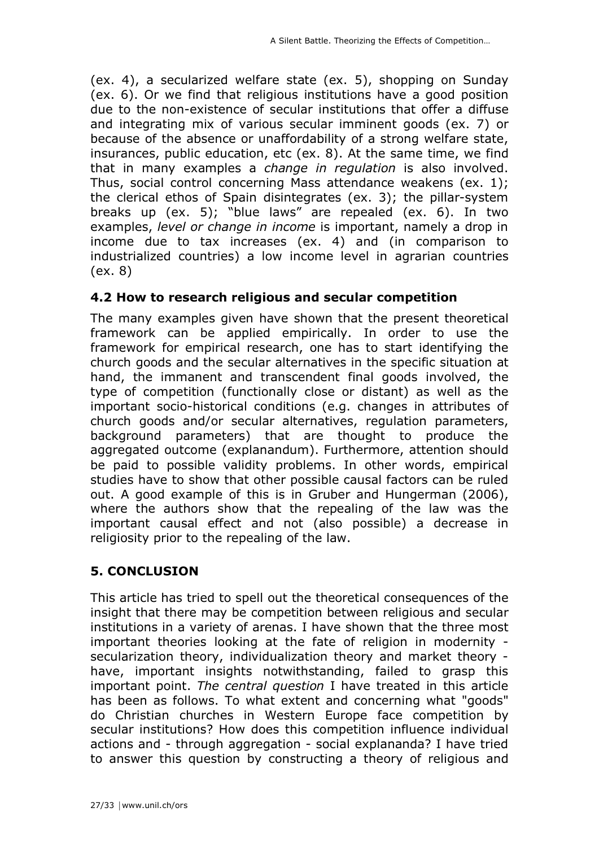(ex. 4), a secularized welfare state (ex. 5), shopping on Sunday (ex. 6). Or we find that religious institutions have a good position due to the non-existence of secular institutions that offer a diffuse and integrating mix of various secular imminent goods (ex. 7) or because of the absence or unaffordability of a strong welfare state, insurances, public education, etc (ex. 8). At the same time, we find that in many examples a *change in regulation* is also involved. Thus, social control concerning Mass attendance weakens (ex. 1); the clerical ethos of Spain disintegrates (ex. 3); the pillar-system breaks up (ex. 5); "blue laws" are repealed (ex. 6). In two examples, *level or change in income* is important, namely a drop in income due to tax increases (ex. 4) and (in comparison to industrialized countries) a low income level in agrarian countries (ex. 8)

## **4.2 How to research religious and secular competition**

The many examples given have shown that the present theoretical framework can be applied empirically. In order to use the framework for empirical research, one has to start identifying the church goods and the secular alternatives in the specific situation at hand, the immanent and transcendent final goods involved, the type of competition (functionally close or distant) as well as the important socio-historical conditions (e.g. changes in attributes of church goods and/or secular alternatives, regulation parameters, background parameters) that are thought to produce the aggregated outcome (explanandum). Furthermore, attention should be paid to possible validity problems. In other words, empirical studies have to show that other possible causal factors can be ruled out. A good example of this is in Gruber and Hungerman (2006), where the authors show that the repealing of the law was the important causal effect and not (also possible) a decrease in religiosity prior to the repealing of the law.

## **5. CONCLUSION**

This article has tried to spell out the theoretical consequences of the insight that there may be competition between religious and secular institutions in a variety of arenas. I have shown that the three most important theories looking at the fate of religion in modernity secularization theory, individualization theory and market theory have, important insights notwithstanding, failed to grasp this important point. *The central question* I have treated in this article has been as follows. To what extent and concerning what "goods" do Christian churches in Western Europe face competition by secular institutions? How does this competition influence individual actions and - through aggregation - social explananda? I have tried to answer this question by constructing a theory of religious and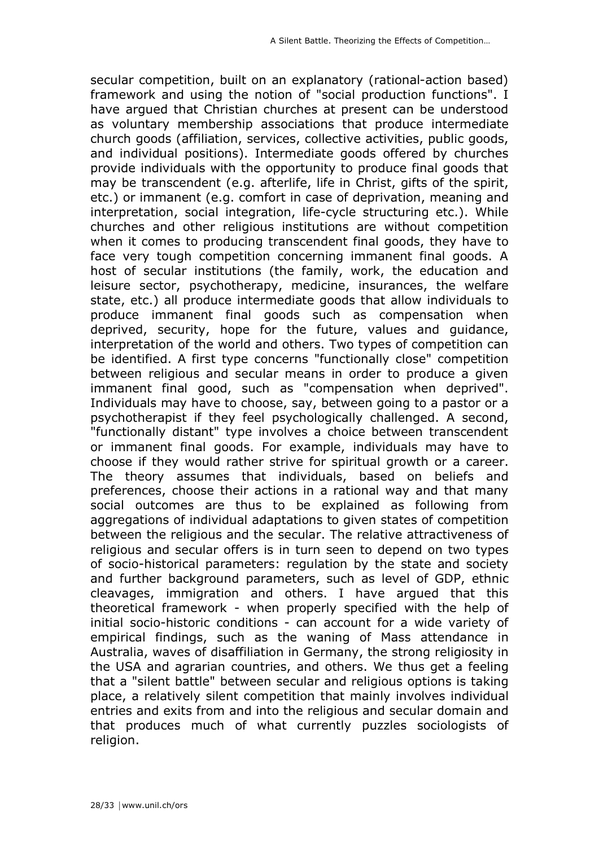secular competition, built on an explanatory (rational-action based) framework and using the notion of "social production functions". I have argued that Christian churches at present can be understood as voluntary membership associations that produce intermediate church goods (affiliation, services, collective activities, public goods, and individual positions). Intermediate goods offered by churches provide individuals with the opportunity to produce final goods that may be transcendent (e.g. afterlife, life in Christ, gifts of the spirit, etc.) or immanent (e.g. comfort in case of deprivation, meaning and interpretation, social integration, life-cycle structuring etc.). While churches and other religious institutions are without competition when it comes to producing transcendent final goods, they have to face very tough competition concerning immanent final goods. A host of secular institutions (the family, work, the education and leisure sector, psychotherapy, medicine, insurances, the welfare state, etc.) all produce intermediate goods that allow individuals to produce immanent final goods such as compensation when deprived, security, hope for the future, values and guidance, interpretation of the world and others. Two types of competition can be identified. A first type concerns "functionally close" competition between religious and secular means in order to produce a given immanent final good, such as "compensation when deprived". Individuals may have to choose, say, between going to a pastor or a psychotherapist if they feel psychologically challenged. A second, "functionally distant" type involves a choice between transcendent or immanent final goods. For example, individuals may have to choose if they would rather strive for spiritual growth or a career. The theory assumes that individuals, based on beliefs and preferences, choose their actions in a rational way and that many social outcomes are thus to be explained as following from aggregations of individual adaptations to given states of competition between the religious and the secular. The relative attractiveness of religious and secular offers is in turn seen to depend on two types of socio-historical parameters: regulation by the state and society and further background parameters, such as level of GDP, ethnic cleavages, immigration and others. I have argued that this theoretical framework - when properly specified with the help of initial socio-historic conditions - can account for a wide variety of empirical findings, such as the waning of Mass attendance in Australia, waves of disaffiliation in Germany, the strong religiosity in the USA and agrarian countries, and others. We thus get a feeling that a "silent battle" between secular and religious options is taking place, a relatively silent competition that mainly involves individual entries and exits from and into the religious and secular domain and that produces much of what currently puzzles sociologists of religion.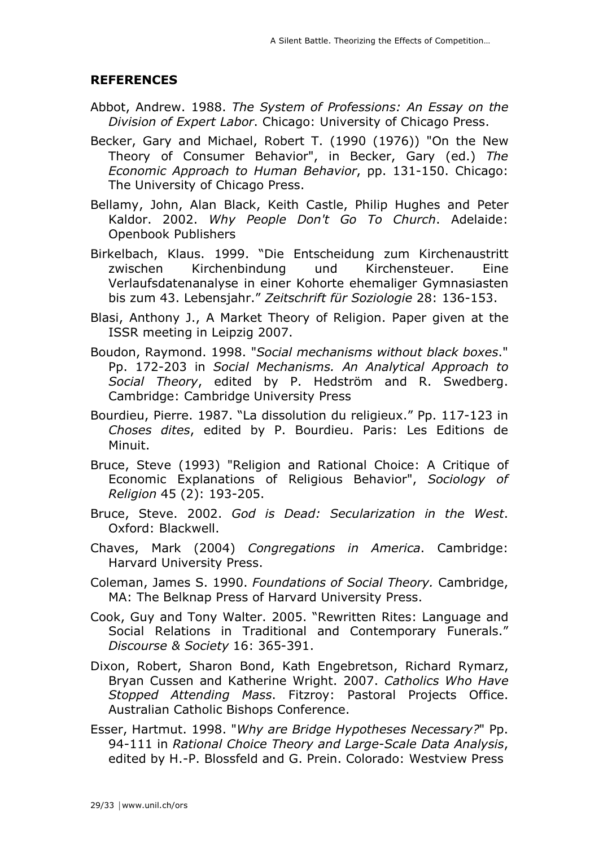#### **REFERENCES**

- Abbot, Andrew. 1988. *The System of Professions: An Essay on the Division of Expert Labor*. Chicago: University of Chicago Press.
- Becker, Gary and Michael, Robert T. (1990 (1976)) "On the New Theory of Consumer Behavior", in Becker, Gary (ed.) *The Economic Approach to Human Behavior*, pp. 131-150. Chicago: The University of Chicago Press.
- Bellamy, John, Alan Black, Keith Castle, Philip Hughes and Peter Kaldor. 2002. *Why People Don't Go To Church*. Adelaide: Openbook Publishers
- Birkelbach, Klaus. 1999. "Die Entscheidung zum Kirchenaustritt zwischen Kirchenbindung und Kirchensteuer. Eine Verlaufsdatenanalyse in einer Kohorte ehemaliger Gymnasiasten bis zum 43. Lebensjahr." *Zeitschrift für Soziologie* 28: 136-153.
- Blasi, Anthony J., A Market Theory of Religion. Paper given at the ISSR meeting in Leipzig 2007.
- Boudon, Raymond. 1998. "*Social mechanisms without black boxes*." Pp. 172-203 in *Social Mechanisms. An Analytical Approach to Social Theory*, edited by P. Hedström and R. Swedberg. Cambridge: Cambridge University Press
- Bourdieu, Pierre. 1987. "La dissolution du religieux." Pp. 117-123 in *Choses dites*, edited by P. Bourdieu. Paris: Les Editions de Minuit.
- Bruce, Steve (1993) "Religion and Rational Choice: A Critique of Economic Explanations of Religious Behavior", *Sociology of Religion* 45 (2): 193-205.
- Bruce, Steve. 2002. *God is Dead: Secularization in the West*. Oxford: Blackwell.
- Chaves, Mark (2004) *Congregations in America*. Cambridge: Harvard University Press.
- Coleman, James S. 1990. *Foundations of Social Theory.* Cambridge, MA: The Belknap Press of Harvard University Press.
- Cook, Guy and Tony Walter. 2005. "Rewritten Rites: Language and Social Relations in Traditional and Contemporary Funerals." *Discourse & Society* 16: 365-391.
- Dixon, Robert, Sharon Bond, Kath Engebretson, Richard Rymarz, Bryan Cussen and Katherine Wright. 2007. *Catholics Who Have Stopped Attending Mass*. Fitzroy: Pastoral Projects Office. Australian Catholic Bishops Conference.
- Esser, Hartmut. 1998. "*Why are Bridge Hypotheses Necessary?*" Pp. 94-111 in *Rational Choice Theory and Large-Scale Data Analysis*, edited by H.-P. Blossfeld and G. Prein. Colorado: Westview Press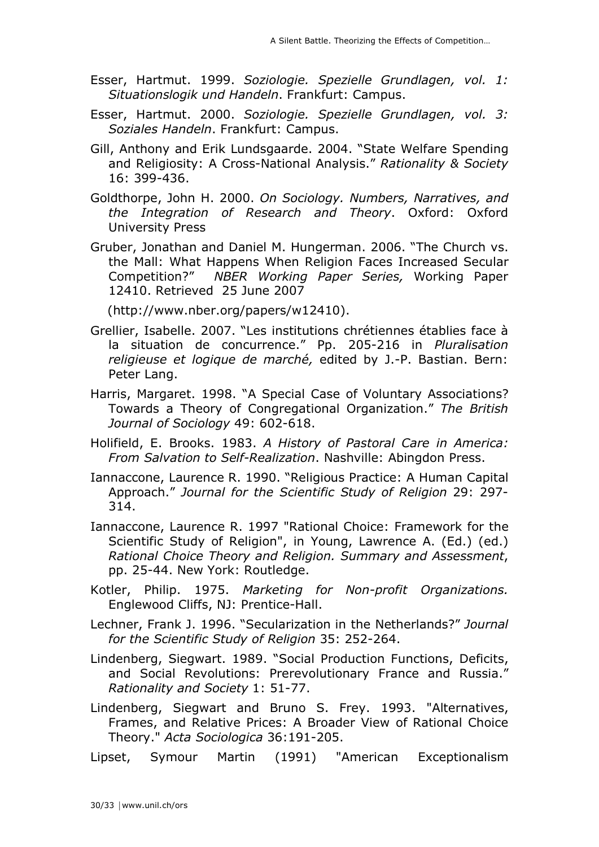- Esser, Hartmut. 1999. *Soziologie. Spezielle Grundlagen, vol. 1: Situationslogik und Handeln*. Frankfurt: Campus.
- Esser, Hartmut. 2000. *Soziologie. Spezielle Grundlagen, vol. 3: Soziales Handeln*. Frankfurt: Campus.
- Gill, Anthony and Erik Lundsgaarde. 2004. "State Welfare Spending and Religiosity: A Cross-National Analysis." *Rationality & Society* 16: 399-436.
- Goldthorpe, John H. 2000. *On Sociology. Numbers, Narratives, and the Integration of Research and Theory*. Oxford: Oxford University Press
- Gruber, Jonathan and Daniel M. Hungerman. 2006. "The Church vs. the Mall: What Happens When Religion Faces Increased Secular Competition?" *NBER Working Paper Series,* Working Paper 12410. Retrieved 25 June 2007

(http://www.nber.org/papers/w12410).

- Grellier, Isabelle. 2007. "Les institutions chrétiennes établies face à la situation de concurrence." Pp. 205-216 in *Pluralisation religieuse et logique de marché,* edited by J.-P. Bastian. Bern: Peter Lang.
- Harris, Margaret. 1998. "A Special Case of Voluntary Associations? Towards a Theory of Congregational Organization." *The British Journal of Sociology* 49: 602-618.
- Holifield, E. Brooks. 1983. *A History of Pastoral Care in America: From Salvation to Self-Realization*. Nashville: Abingdon Press.
- Iannaccone, Laurence R. 1990. "Religious Practice: A Human Capital Approach." *Journal for the Scientific Study of Religion* 29: 297- 314.
- Iannaccone, Laurence R. 1997 "Rational Choice: Framework for the Scientific Study of Religion", in Young, Lawrence A. (Ed.) (ed.) *Rational Choice Theory and Religion. Summary and Assessment*, pp. 25-44. New York: Routledge.
- Kotler, Philip. 1975. *Marketing for Non-profit Organizations.* Englewood Cliffs, NJ: Prentice-Hall.
- Lechner, Frank J. 1996. "Secularization in the Netherlands?" *Journal for the Scientific Study of Religion* 35: 252-264.
- Lindenberg, Siegwart. 1989. "Social Production Functions, Deficits, and Social Revolutions: Prerevolutionary France and Russia." *Rationality and Society* 1: 51-77.
- Lindenberg, Siegwart and Bruno S. Frey. 1993. "Alternatives, Frames, and Relative Prices: A Broader View of Rational Choice Theory." *Acta Sociologica* 36:191-205.

Lipset, Symour Martin (1991) "American Exceptionalism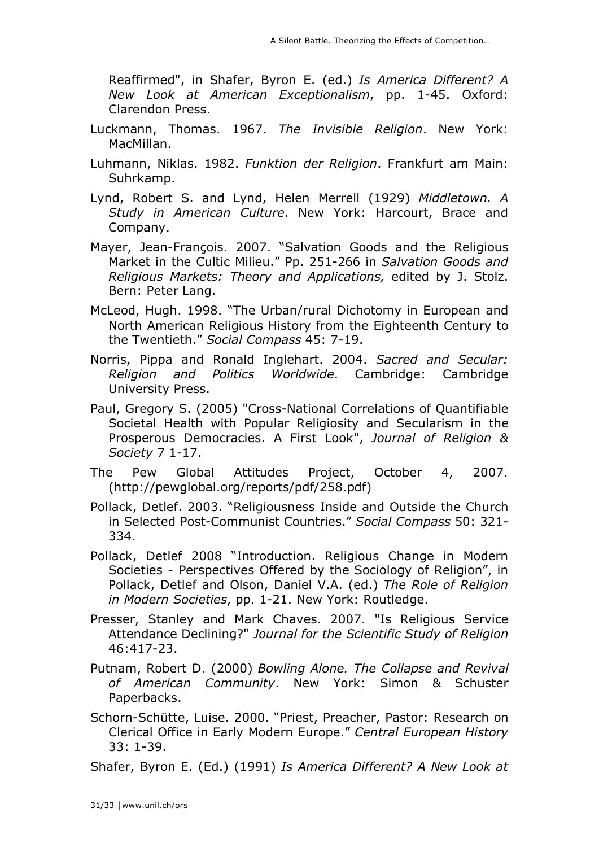Reaffirmed", in Shafer, Byron E. (ed.) *Is America Different? A New Look at American Exceptionalism*, pp. 1-45. Oxford: Clarendon Press.

- Luckmann, Thomas. 1967. *The Invisible Religion*. New York: MacMillan.
- Luhmann, Niklas. 1982. *Funktion der Religion*. Frankfurt am Main: Suhrkamp.
- Lynd, Robert S. and Lynd, Helen Merrell (1929) *Middletown. A Study in American Culture*. New York: Harcourt, Brace and Company.
- Mayer, Jean-François. 2007. "Salvation Goods and the Religious Market in the Cultic Milieu." Pp. 251-266 in *Salvation Goods and Religious Markets: Theory and Applications,* edited by J. Stolz. Bern: Peter Lang.
- McLeod, Hugh. 1998. "The Urban/rural Dichotomy in European and North American Religious History from the Eighteenth Century to the Twentieth." *Social Compass* 45: 7-19.
- Norris, Pippa and Ronald Inglehart. 2004. *Sacred and Secular: Religion and Politics Worldwide*. Cambridge: Cambridge University Press.
- Paul, Gregory S. (2005) "Cross-National Correlations of Quantifiable Societal Health with Popular Religiosity and Secularism in the Prosperous Democracies. A First Look", *Journal of Religion & Society* 7 1-17.
- The Pew Global Attitudes Project, October 4, 2007. (http://pewglobal.org/reports/pdf/258.pdf)
- Pollack, Detlef. 2003. "Religiousness Inside and Outside the Church in Selected Post-Communist Countries." *Social Compass* 50: 321- 334.
- Pollack, Detlef 2008 "Introduction. Religious Change in Modern Societies - Perspectives Offered by the Sociology of Religion", in Pollack, Detlef and Olson, Daniel V.A. (ed.) *The Role of Religion in Modern Societies*, pp. 1-21. New York: Routledge.
- Presser, Stanley and Mark Chaves. 2007. "Is Religious Service Attendance Declining?" *Journal for the Scientific Study of Religion* 46:417-23.
- Putnam, Robert D. (2000) *Bowling Alone. The Collapse and Revival of American Community*. New York: Simon & Schuster Paperbacks.
- Schorn-Schütte, Luise. 2000. "Priest, Preacher, Pastor: Research on Clerical Office in Early Modern Europe." *Central European History* 33: 1-39.

Shafer, Byron E. (Ed.) (1991) *Is America Different? A New Look at*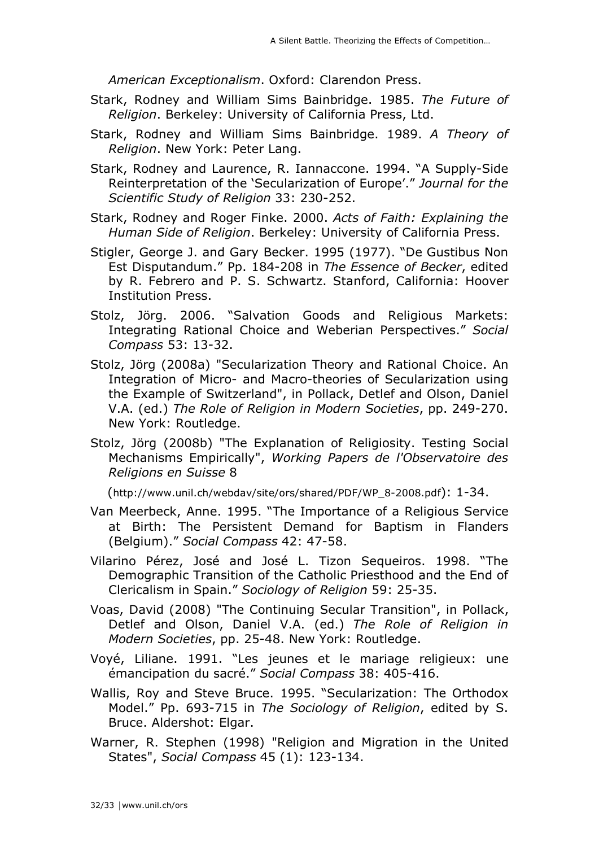*American Exceptionalism*. Oxford: Clarendon Press.

- Stark, Rodney and William Sims Bainbridge. 1985. *The Future of Religion*. Berkeley: University of California Press, Ltd.
- Stark, Rodney and William Sims Bainbridge. 1989. *A Theory of Religion*. New York: Peter Lang.
- Stark, Rodney and Laurence, R. Iannaccone. 1994. "A Supply-Side Reinterpretation of the 'Secularization of Europe'." *Journal for the Scientific Study of Religion* 33: 230-252.
- Stark, Rodney and Roger Finke. 2000. *Acts of Faith: Explaining the Human Side of Religion*. Berkeley: University of California Press.
- Stigler, George J. and Gary Becker. 1995 (1977). "De Gustibus Non Est Disputandum." Pp. 184-208 in *The Essence of Becker*, edited by R. Febrero and P. S. Schwartz. Stanford, California: Hoover Institution Press.
- Stolz, Jörg. 2006. "Salvation Goods and Religious Markets: Integrating Rational Choice and Weberian Perspectives." *Social Compass* 53: 13-32.
- Stolz, Jörg (2008a) "Secularization Theory and Rational Choice. An Integration of Micro- and Macro-theories of Secularization using the Example of Switzerland", in Pollack, Detlef and Olson, Daniel V.A. (ed.) *The Role of Religion in Modern Societies*, pp. 249-270. New York: Routledge.
- Stolz, Jörg (2008b) "The Explanation of Religiosity. Testing Social Mechanisms Empirically", *Working Papers de l'Observatoire des Religions en Suisse* 8

(http://www.unil.ch/webdav/site/ors/shared/PDF/WP\_8-2008.pdf): 1-34.

- Van Meerbeck, Anne. 1995. "The Importance of a Religious Service at Birth: The Persistent Demand for Baptism in Flanders (Belgium)." *Social Compass* 42: 47-58.
- Vilarino Pérez, José and José L. Tizon Sequeiros. 1998. "The Demographic Transition of the Catholic Priesthood and the End of Clericalism in Spain." *Sociology of Religion* 59: 25-35.
- Voas, David (2008) "The Continuing Secular Transition", in Pollack, Detlef and Olson, Daniel V.A. (ed.) *The Role of Religion in Modern Societies*, pp. 25-48. New York: Routledge.
- Voyé, Liliane. 1991. "Les jeunes et le mariage religieux: une émancipation du sacré." *Social Compass* 38: 405-416.
- Wallis, Roy and Steve Bruce. 1995. "Secularization: The Orthodox Model." Pp. 693-715 in *The Sociology of Religion*, edited by S. Bruce. Aldershot: Elgar.
- Warner, R. Stephen (1998) "Religion and Migration in the United States", *Social Compass* 45 (1): 123-134.